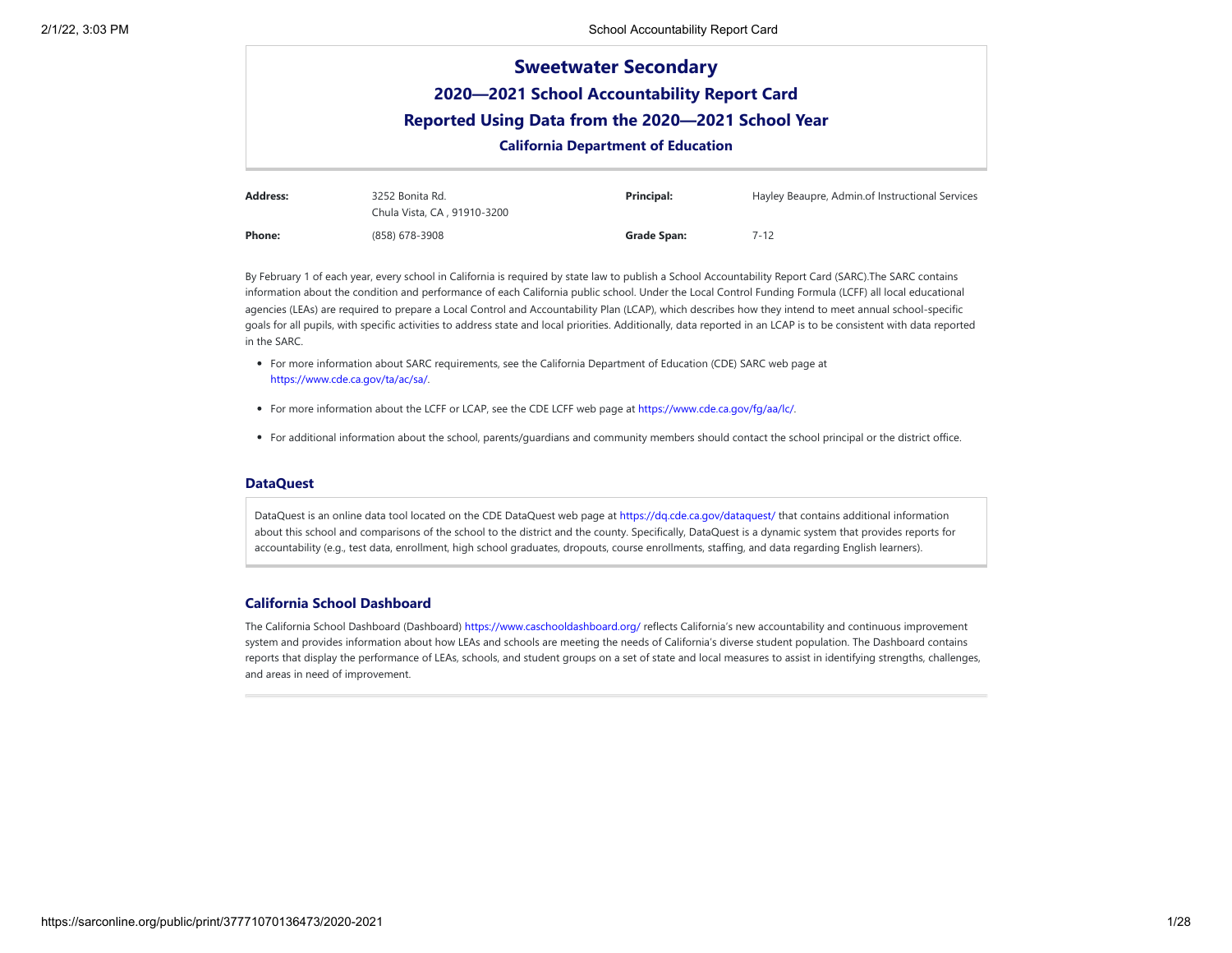| <b>Sweetwater Secondary</b>                        |                 |                                             |                                                 |  |  |  |  |
|----------------------------------------------------|-----------------|---------------------------------------------|-------------------------------------------------|--|--|--|--|
|                                                    |                 | 2020-2021 School Accountability Report Card |                                                 |  |  |  |  |
| Reported Using Data from the 2020-2021 School Year |                 |                                             |                                                 |  |  |  |  |
| <b>California Department of Education</b>          |                 |                                             |                                                 |  |  |  |  |
| <b>Address:</b>                                    | 3252 Bonita Rd. | Principal:                                  | Hayley Beaupre, Admin.of Instructional Services |  |  |  |  |

|        | Chula Vista, CA, 91910-3200 |             | .        |
|--------|-----------------------------|-------------|----------|
| Phone: | (858) 678-3908              | Grade Span: | $7 - 12$ |

By February 1 of each year, every school in California is required by state law to publish a School Accountability Report Card (SARC).The SARC contains information about the condition and performance of each California public school. Under the Local Control Funding Formula (LCFF) all local educational agencies (LEAs) are required to prepare a Local Control and Accountability Plan (LCAP), which describes how they intend to meet annual school-specific goals for all pupils, with specific activities to address state and local priorities. Additionally, data reported in an LCAP is to be consistent with data reported in the SARC.

- For more information about SARC requirements, see the California Department of Education (CDE) SARC web page at <https://www.cde.ca.gov/ta/ac/sa/>.
- For more information about the LCFF or LCAP, see the CDE LCFF web page at <https://www.cde.ca.gov/fg/aa/lc/>.
- For additional information about the school, parents/guardians and community members should contact the school principal or the district office.

#### **DataQuest**

DataQuest is an online data tool located on the CDE DataQuest web page at https://dg.cde.ca.gov/dataguest/ that contains additional information about this school and comparisons of the school to the district and the county. Specifically, DataQuest is a dynamic system that provides reports for accountability (e.g., test data, enrollment, high school graduates, dropouts, course enrollments, staffing, and data regarding English learners).

## **California School Dashboard**

The California School Dashboard (Dashboard) <https://www.caschooldashboard.org/> reflects California's new accountability and continuous improvement system and provides information about how LEAs and schools are meeting the needs of California's diverse student population. The Dashboard contains reports that display the performance of LEAs, schools, and student groups on a set of state and local measures to assist in identifying strengths, challenges, and areas in need of improvement.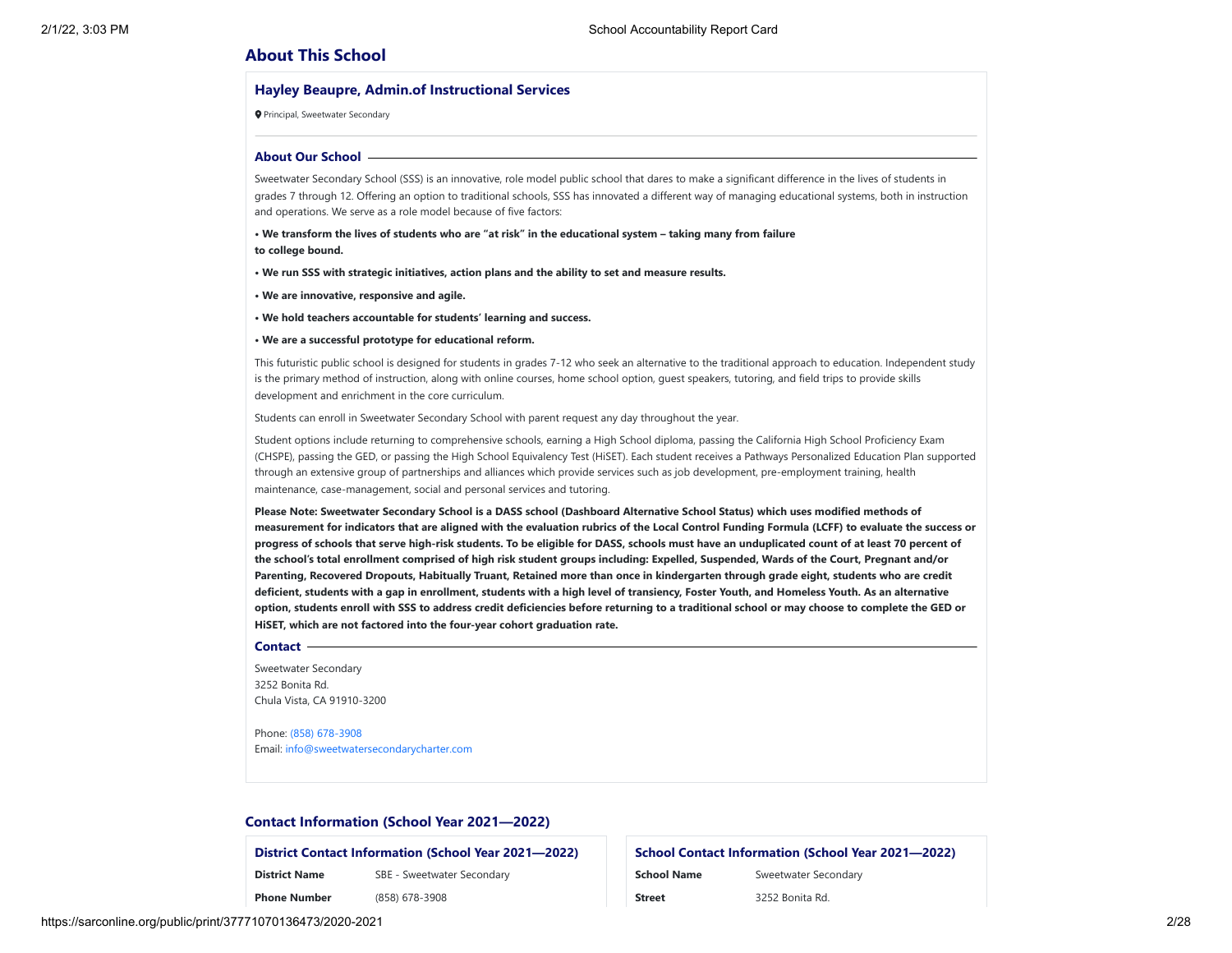## **About This School**

#### **Hayley Beaupre, Admin.of Instructional Services**

**Q** Principal, Sweetwater Secondary

#### **About Our School**

Sweetwater Secondary School (SSS) is an innovative, role model public school that dares to make a significant difference in the lives of students in grades 7 through 12. Offering an option to traditional schools, SSS has innovated a different way of managing educational systems, both in instruction and operations. We serve as a role model because of five factors:

**• We transform the lives of students who are "at risk" in the educational system – taking many from failure to college bound.**

**• We run SSS with strategic initiatives, action plans and the ability to set and measure results.**

**• We are innovative, responsive and agile.**

**• We hold teachers accountable for students' learning and success.**

**• We are a successful prototype for educational reform.**

This futuristic public school is designed for students in grades 7-12 who seek an alternative to the traditional approach to education. Independent study is the primary method of instruction, along with online courses, home school option, guest speakers, tutoring, and field trips to provide skills development and enrichment in the core curriculum.

Students can enroll in Sweetwater Secondary School with parent request any day throughout the year.

Student options include returning to comprehensive schools, earning a High School diploma, passing the California High School Proficiency Exam (CHSPE), passing the GED, or passing the High School Equivalency Test (HiSET). Each student receives a Pathways Personalized Education Plan supported through an extensive group of partnerships and alliances which provide services such as job development, pre-employment training, health maintenance, case-management, social and personal services and tutoring.

**Please Note: Sweetwater Secondary School is a DASS school (Dashboard Alternative School Status) which uses modified methods of measurement for indicators that are aligned with the evaluation rubrics of the Local Control Funding Formula (LCFF) to evaluate the success or progress of schools that serve high-risk students. To be eligible for DASS, schools must have an unduplicated count of at least 70 percent of the school's total enrollment comprised of high risk student groups including: Expelled, Suspended, Wards of the Court, Pregnant and/or Parenting, Recovered Dropouts, Habitually Truant, Retained more than once in kindergarten through grade eight, students who are credit deficient, students with a gap in enrollment, students with a high level of transiency, Foster Youth, and Homeless Youth. As an alternative option, students enroll with SSS to address credit deficiencies before returning to a traditional school or may choose to complete the GED or HiSET, which are not factored into the four-year cohort graduation rate.**

#### **Contact**

Sweetwater Secondary 3252 Bonita Rd. Chula Vista, CA 91910-3200

Phone: (858) [678-3908](tel:(858) 678-3908) Email: [info@sweetwatersecondarycharter.com](mailto:info@sweetwatersecondarycharter.com)

**Contact Information (School Year 2021—2022)**

**District Contact Information (School Year 2021—2022)**

**Phone Number** (858) 678-3908

**District Name** SBE - Sweetwater Secondary

## **School Contact Information (School Year 2021—2022)**

**School Name** Sweetwater Secondary

**Street** 3252 Bonita Rd.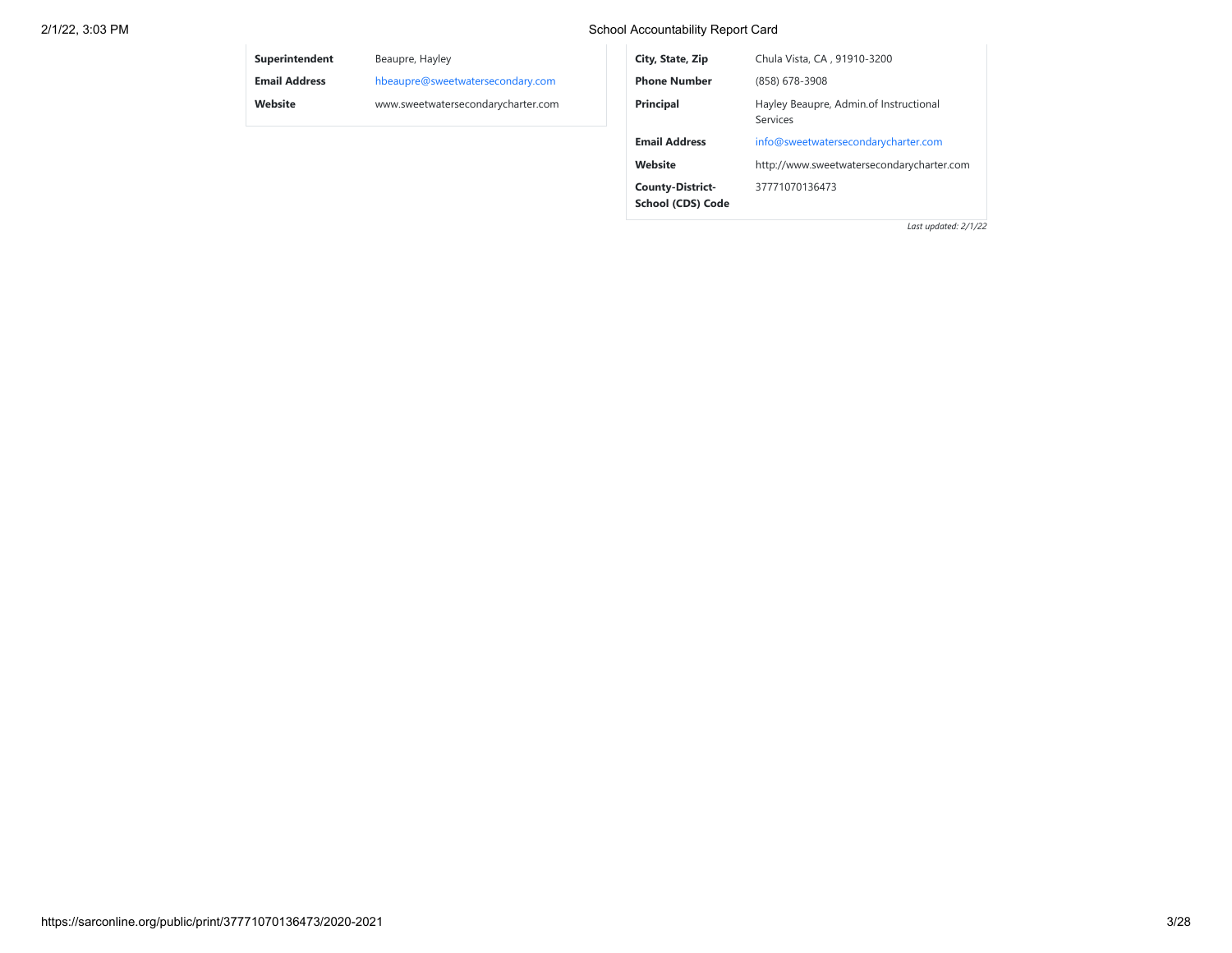# 2/1/22, 3:03 PM School Accountability Report Card

| Superintendent       | Beaupre, Hayley                    |
|----------------------|------------------------------------|
| <b>Email Address</b> | hbeaupre@sweetwatersecondary.com   |
| Website              | www.sweetwatersecondarycharter.com |
|                      |                                    |

| City, State, Zip                             | Chula Vista, CA, 91910-3200                        |
|----------------------------------------------|----------------------------------------------------|
| <b>Phone Number</b>                          | (858) 678-3908                                     |
| <b>Principal</b>                             | Hayley Beaupre, Admin.of Instructional<br>Services |
| <b>Email Address</b>                         | info@sweetwatersecondarycharter.com                |
| Website                                      | http://www.sweetwatersecondarycharter.com          |
| <b>County-District-</b><br>School (CDS) Code | 37771070136473                                     |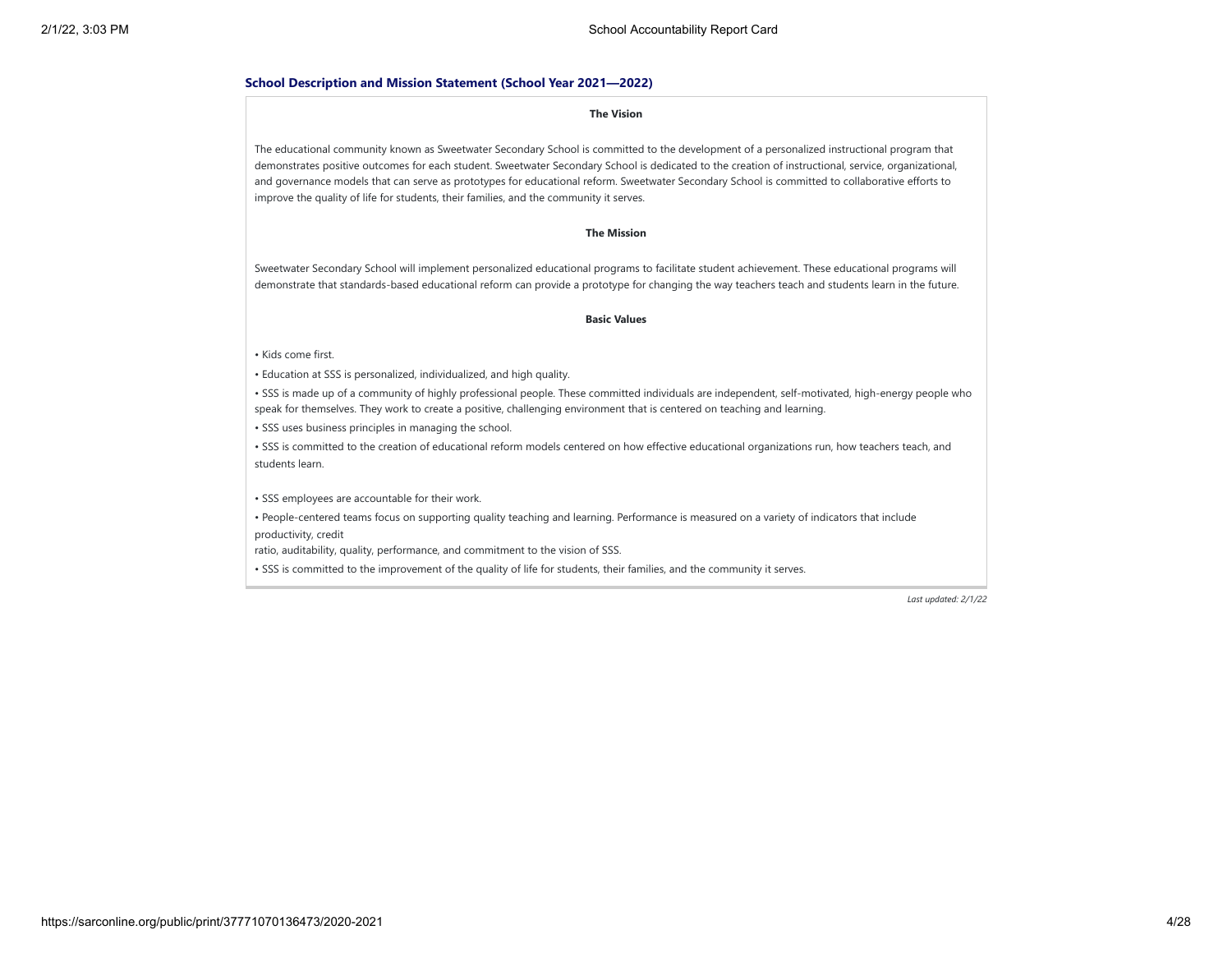#### **School Description and Mission Statement (School Year 2021—2022)**

#### **The Vision**

The educational community known as Sweetwater Secondary School is committed to the development of a personalized instructional program that demonstrates positive outcomes for each student. Sweetwater Secondary School is dedicated to the creation of instructional, service, organizational, and governance models that can serve as prototypes for educational reform. Sweetwater Secondary School is committed to collaborative efforts to improve the quality of life for students, their families, and the community it serves.

#### **The Mission**

Sweetwater Secondary School will implement personalized educational programs to facilitate student achievement. These educational programs will demonstrate that standards-based educational reform can provide a prototype for changing the way teachers teach and students learn in the future.

#### **Basic Values**

• Kids come first.

• Education at SSS is personalized, individualized, and high quality.

• SSS is made up of a community of highly professional people. These committed individuals are independent, self-motivated, high-energy people who speak for themselves. They work to create a positive, challenging environment that is centered on teaching and learning.

• SSS uses business principles in managing the school.

• SSS is committed to the creation of educational reform models centered on how effective educational organizations run, how teachers teach, and students learn.

• SSS employees are accountable for their work.

• People-centered teams focus on supporting quality teaching and learning. Performance is measured on a variety of indicators that include productivity, credit

ratio, auditability, quality, performance, and commitment to the vision of SSS.

• SSS is committed to the improvement of the quality of life for students, their families, and the community it serves.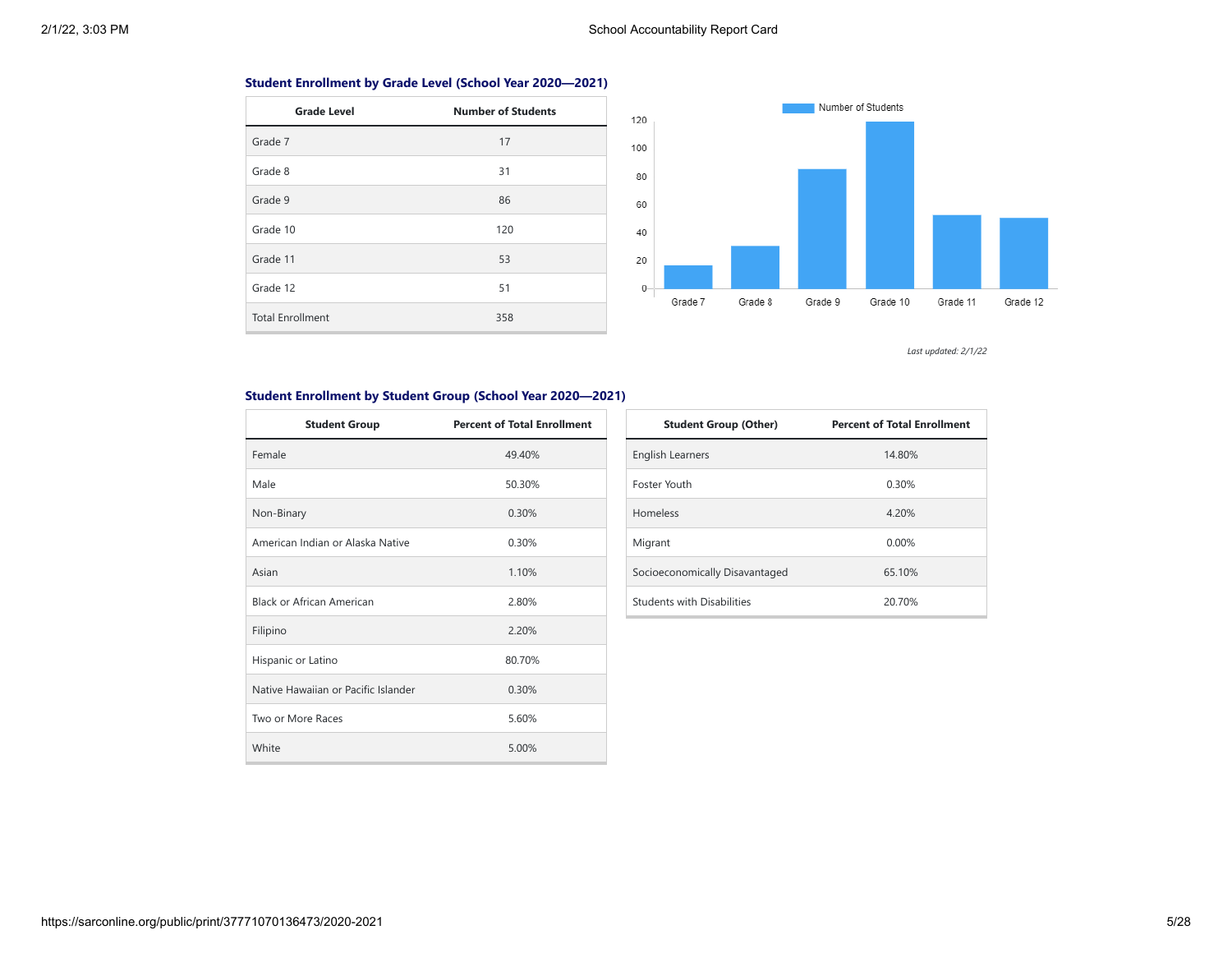# **Student Enrollment by Grade Level (School Year 2020—2021)**

| <b>Grade Level</b>      | <b>Number of Students</b> |
|-------------------------|---------------------------|
| Grade 7                 | 17                        |
| Grade 8                 | 31                        |
| Grade 9                 | 86                        |
| Grade 10                | 120                       |
| Grade 11                | 53                        |
| Grade 12                | 51                        |
| <b>Total Enrollment</b> | 358                       |



*Last updated: 2/1/22*

## **Student Enrollment by Student Group (School Year 2020—2021)**

| <b>Student Group</b>                | <b>Percent of Total Enrollment</b> |
|-------------------------------------|------------------------------------|
| Female                              | 49.40%                             |
| Male                                | 50.30%                             |
| Non-Binary                          | 0.30%                              |
| American Indian or Alaska Native    | 0.30%                              |
| Asian                               | 1.10%                              |
| Black or African American           | 2.80%                              |
| Filipino                            | 2.20%                              |
| Hispanic or Latino                  | 80.70%                             |
| Native Hawaiian or Pacific Islander | 0.30%                              |
| Two or More Races                   | 5.60%                              |
| White                               | 5.00%                              |

| <b>Student Group (Other)</b>      | <b>Percent of Total Enrollment</b> |
|-----------------------------------|------------------------------------|
| <b>English Learners</b>           | 14.80%                             |
| Foster Youth                      | 0.30%                              |
| Homeless                          | 4.20%                              |
| Migrant                           | 0.00%                              |
| Socioeconomically Disavantaged    | 65.10%                             |
| <b>Students with Disabilities</b> | 20.70%                             |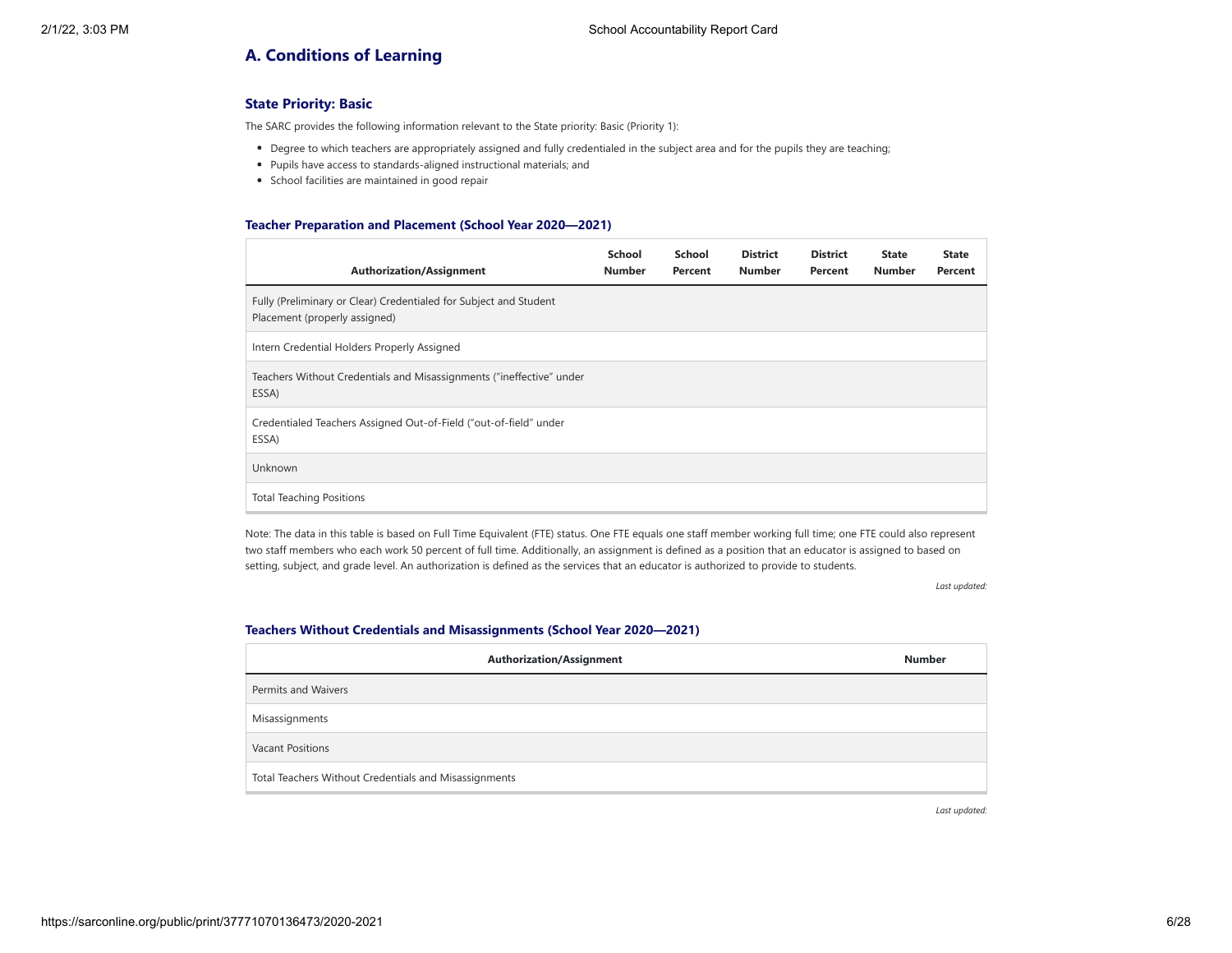# **A. Conditions of Learning**

## **State Priority: Basic**

The SARC provides the following information relevant to the State priority: Basic (Priority 1):

- Degree to which teachers are appropriately assigned and fully credentialed in the subject area and for the pupils they are teaching;
- Pupils have access to standards-aligned instructional materials; and
- School facilities are maintained in good repair

#### **Teacher Preparation and Placement (School Year 2020—2021)**

| <b>Authorization/Assignment</b>                                                                    | School<br><b>Number</b> | School<br>Percent | <b>District</b><br><b>Number</b> | <b>District</b><br>Percent | <b>State</b><br><b>Number</b> | <b>State</b><br>Percent |
|----------------------------------------------------------------------------------------------------|-------------------------|-------------------|----------------------------------|----------------------------|-------------------------------|-------------------------|
| Fully (Preliminary or Clear) Credentialed for Subject and Student<br>Placement (properly assigned) |                         |                   |                                  |                            |                               |                         |
| Intern Credential Holders Properly Assigned                                                        |                         |                   |                                  |                            |                               |                         |
| Teachers Without Credentials and Misassignments ("ineffective" under<br>ESSA)                      |                         |                   |                                  |                            |                               |                         |
| Credentialed Teachers Assigned Out-of-Field ("out-of-field" under<br>ESSA)                         |                         |                   |                                  |                            |                               |                         |
| Unknown                                                                                            |                         |                   |                                  |                            |                               |                         |
| <b>Total Teaching Positions</b>                                                                    |                         |                   |                                  |                            |                               |                         |

Note: The data in this table is based on Full Time Equivalent (FTE) status. One FTE equals one staff member working full time; one FTE could also represent two staff members who each work 50 percent of full time. Additionally, an assignment is defined as a position that an educator is assigned to based on setting, subject, and grade level. An authorization is defined as the services that an educator is authorized to provide to students.

*Last updated:*

#### **Teachers Without Credentials and Misassignments (School Year 2020—2021)**

| <b>Authorization/Assignment</b>                       | <b>Number</b> |
|-------------------------------------------------------|---------------|
| Permits and Waivers                                   |               |
| Misassignments                                        |               |
| <b>Vacant Positions</b>                               |               |
| Total Teachers Without Credentials and Misassignments |               |

*Last updated:*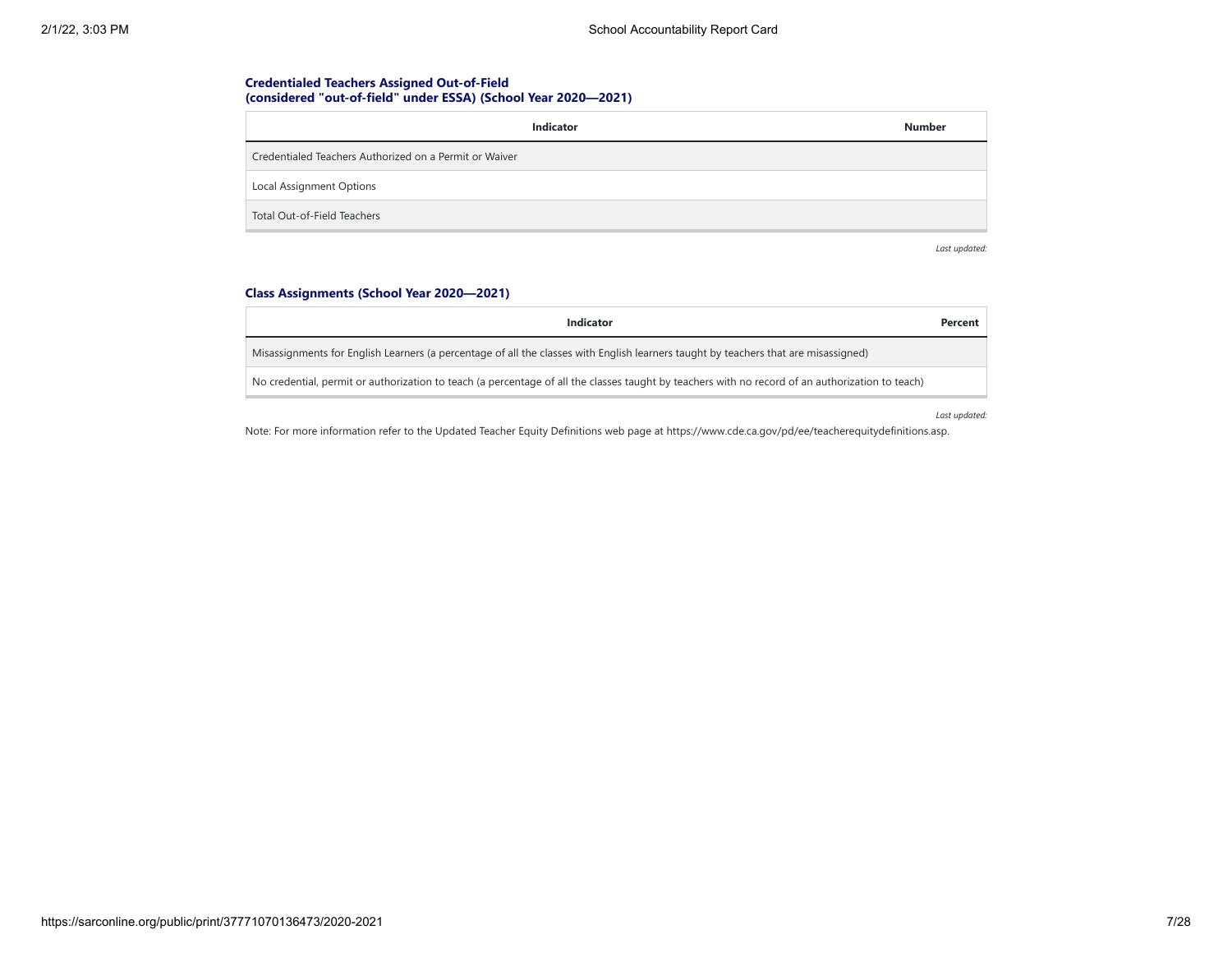## **Credentialed Teachers Assigned Out-of-Field (considered "out-of-field" under ESSA) (School Year 2020—2021)**

| Indicator                                              | <b>Number</b> |
|--------------------------------------------------------|---------------|
| Credentialed Teachers Authorized on a Permit or Waiver |               |
| Local Assignment Options                               |               |
| Total Out-of-Field Teachers                            |               |

*Last updated:*

## **Class Assignments (School Year 2020—2021)**

| Indicator                                                                                                                                        | Percent |
|--------------------------------------------------------------------------------------------------------------------------------------------------|---------|
| Misassignments for English Learners (a percentage of all the classes with English learners taught by teachers that are misassigned)              |         |
| No credential, permit or authorization to teach (a percentage of all the classes taught by teachers with no record of an authorization to teach) |         |

*Last updated:*

Note: For more information refer to the Updated Teacher Equity Definitions web page at https://www.cde.ca.gov/pd/ee/teacherequitydefinitions.asp.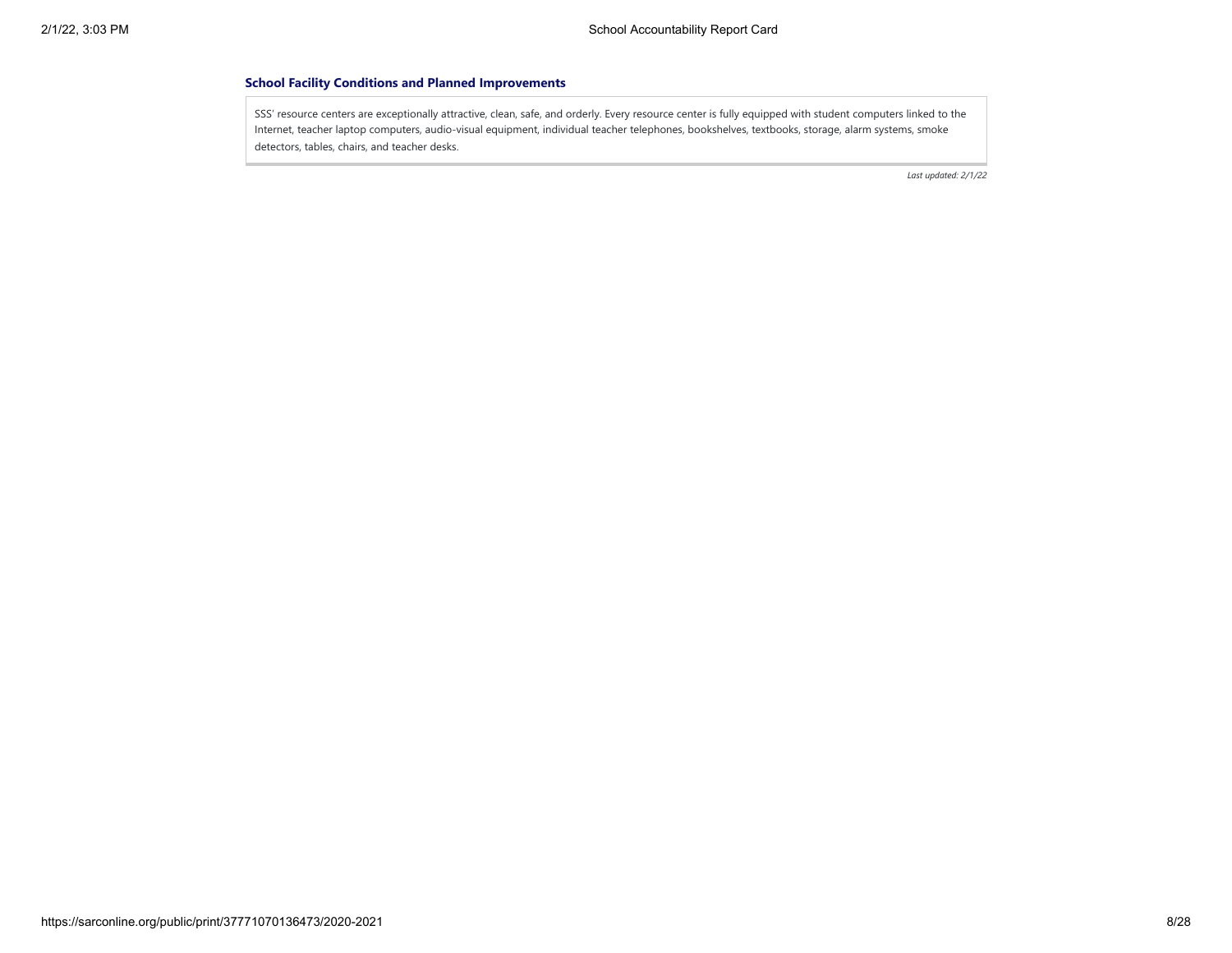#### **School Facility Conditions and Planned Improvements**

SSS' resource centers are exceptionally attractive, clean, safe, and orderly. Every resource center is fully equipped with student computers linked to the Internet, teacher laptop computers, audio-visual equipment, individual teacher telephones, bookshelves, textbooks, storage, alarm systems, smoke detectors, tables, chairs, and teacher desks.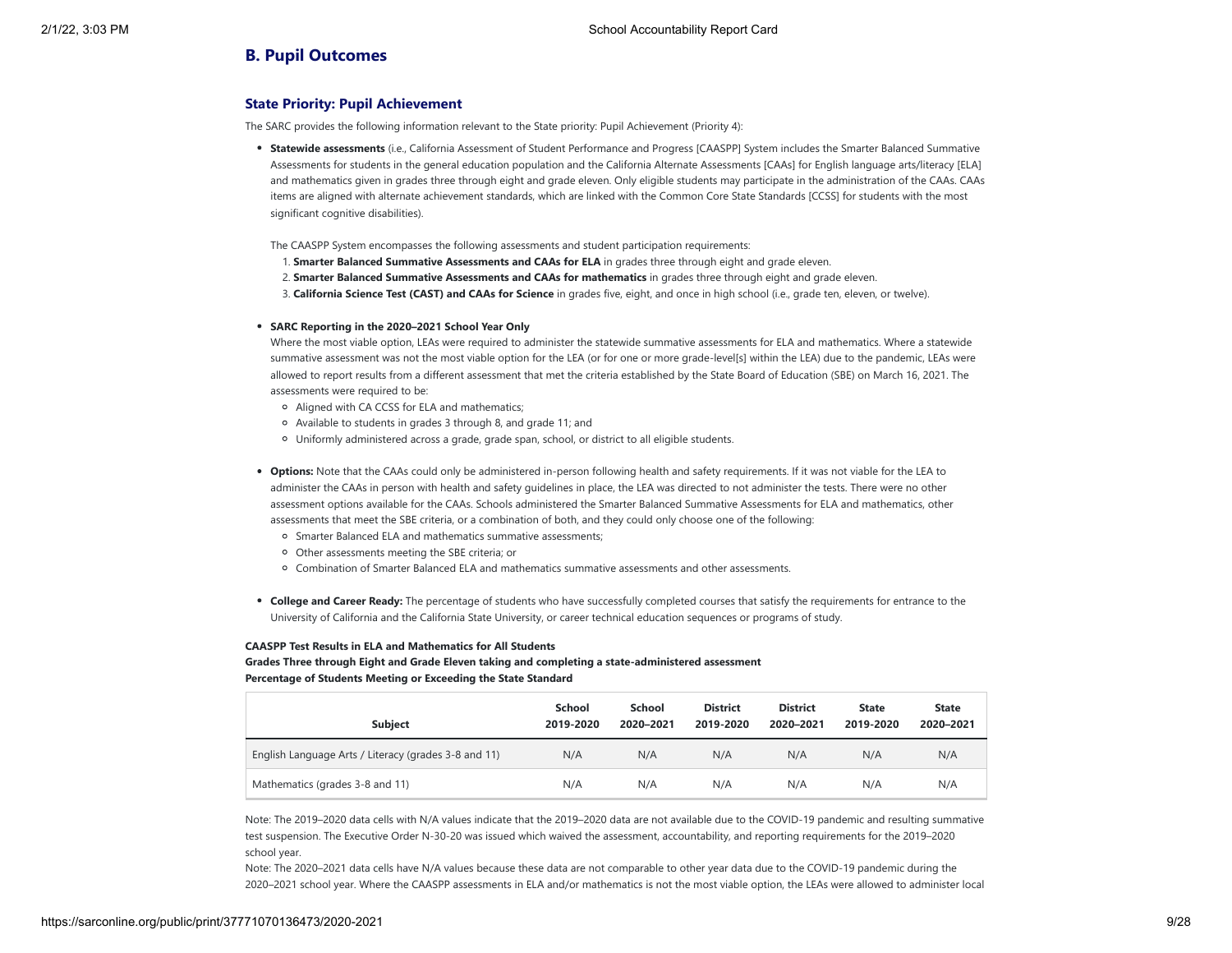# **B. Pupil Outcomes**

## **State Priority: Pupil Achievement**

The SARC provides the following information relevant to the State priority: Pupil Achievement (Priority 4):

- **Statewide assessments** (i.e., California Assessment of Student Performance and Progress [CAASPP] System includes the Smarter Balanced Summative Assessments for students in the general education population and the California Alternate Assessments [CAAs] for English language arts/literacy [ELA] and mathematics given in grades three through eight and grade eleven. Only eligible students may participate in the administration of the CAAs. CAAs items are aligned with alternate achievement standards, which are linked with the Common Core State Standards [CCSS] for students with the most significant cognitive disabilities).
- The CAASPP System encompasses the following assessments and student participation requirements:
- 1. **Smarter Balanced Summative Assessments and CAAs for ELA** in grades three through eight and grade eleven.
- 2. **Smarter Balanced Summative Assessments and CAAs for mathematics** in grades three through eight and grade eleven.
- 3. **California Science Test (CAST) and CAAs for Science** in grades five, eight, and once in high school (i.e., grade ten, eleven, or twelve).

#### **SARC Reporting in the 2020–2021 School Year Only**

Where the most viable option, LEAs were required to administer the statewide summative assessments for ELA and mathematics. Where a statewide summative assessment was not the most viable option for the LEA (or for one or more grade-level[s] within the LEA) due to the pandemic, LEAs were allowed to report results from a different assessment that met the criteria established by the State Board of Education (SBE) on March 16, 2021. The assessments were required to be:

- Aligned with CA CCSS for ELA and mathematics;
- Available to students in grades 3 through 8, and grade 11; and
- Uniformly administered across a grade, grade span, school, or district to all eligible students.
- **Options:** Note that the CAAs could only be administered in-person following health and safety requirements. If it was not viable for the LEA to administer the CAAs in person with health and safety guidelines in place, the LEA was directed to not administer the tests. There were no other assessment options available for the CAAs. Schools administered the Smarter Balanced Summative Assessments for ELA and mathematics, other assessments that meet the SBE criteria, or a combination of both, and they could only choose one of the following:
	- Smarter Balanced ELA and mathematics summative assessments;
	- Other assessments meeting the SBE criteria; or
	- Combination of Smarter Balanced ELA and mathematics summative assessments and other assessments.
- **College and Career Ready:** The percentage of students who have successfully completed courses that satisfy the requirements for entrance to the University of California and the California State University, or career technical education sequences or programs of study.

#### **CAASPP Test Results in ELA and Mathematics for All Students**

**Grades Three through Eight and Grade Eleven taking and completing a state-administered assessment Percentage of Students Meeting or Exceeding the State Standard**

| <b>Subject</b>                                       | <b>School</b><br>2019-2020 | <b>School</b><br>2020-2021 | <b>District</b><br>2019-2020 | <b>District</b><br>2020-2021 | <b>State</b><br>2019-2020 | <b>State</b><br>2020-2021 |
|------------------------------------------------------|----------------------------|----------------------------|------------------------------|------------------------------|---------------------------|---------------------------|
| English Language Arts / Literacy (grades 3-8 and 11) | N/A                        | N/A                        | N/A                          | N/A                          | N/A                       | N/A                       |
| Mathematics (grades 3-8 and 11)                      | N/A                        | N/A                        | N/A                          | N/A                          | N/A                       | N/A                       |

Note: The 2019–2020 data cells with N/A values indicate that the 2019–2020 data are not available due to the COVID-19 pandemic and resulting summative test suspension. The Executive Order N-30-20 was issued which waived the assessment, accountability, and reporting requirements for the 2019–2020 school year.

Note: The 2020–2021 data cells have N/A values because these data are not comparable to other year data due to the COVID-19 pandemic during the 2020–2021 school year. Where the CAASPP assessments in ELA and/or mathematics is not the most viable option, the LEAs were allowed to administer local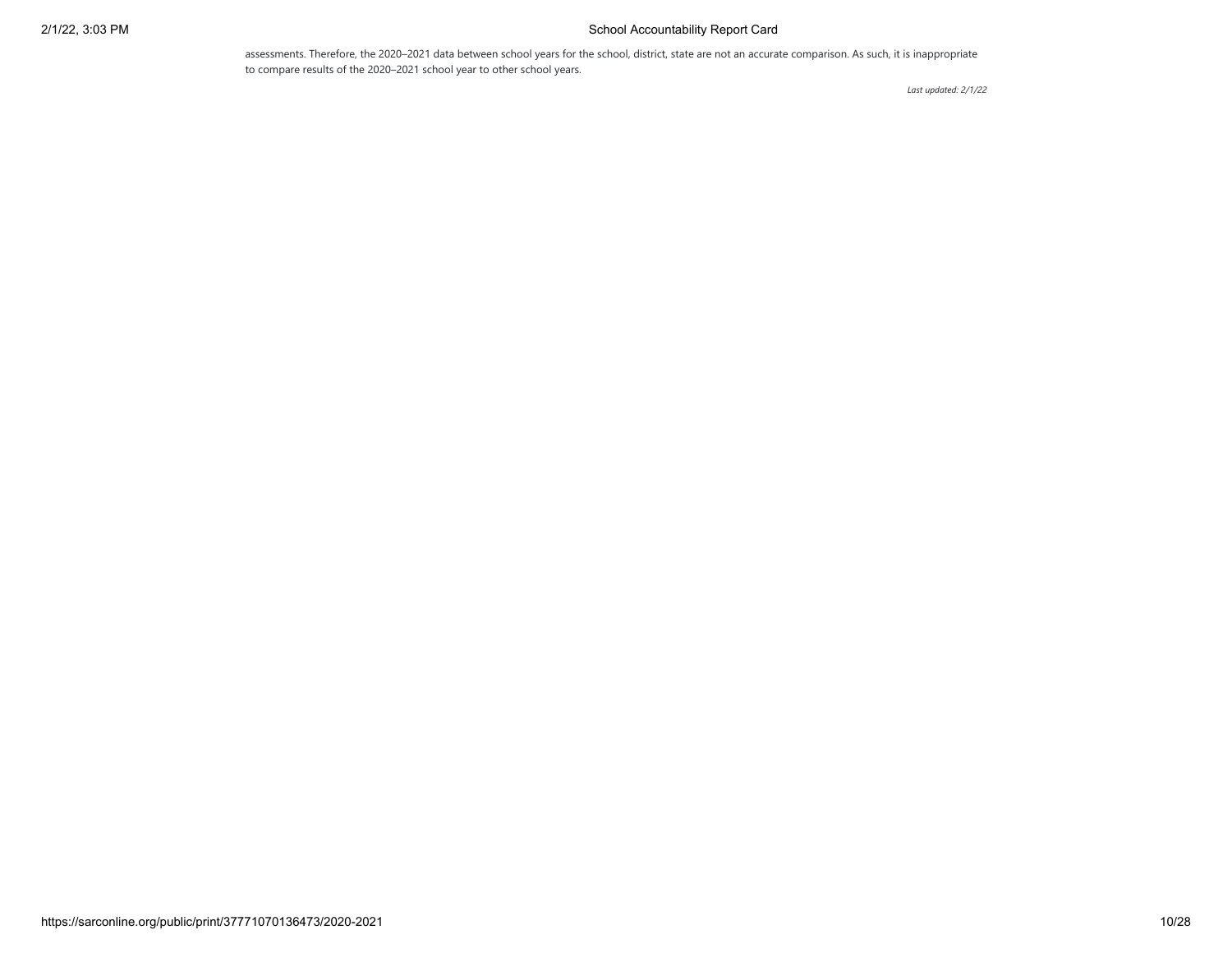## 2/1/22, 3:03 PM School Accountability Report Card

assessments. Therefore, the 2020–2021 data between school years for the school, district, state are not an accurate comparison. As such, it is inappropriate to compare results of the 2020–2021 school year to other school years.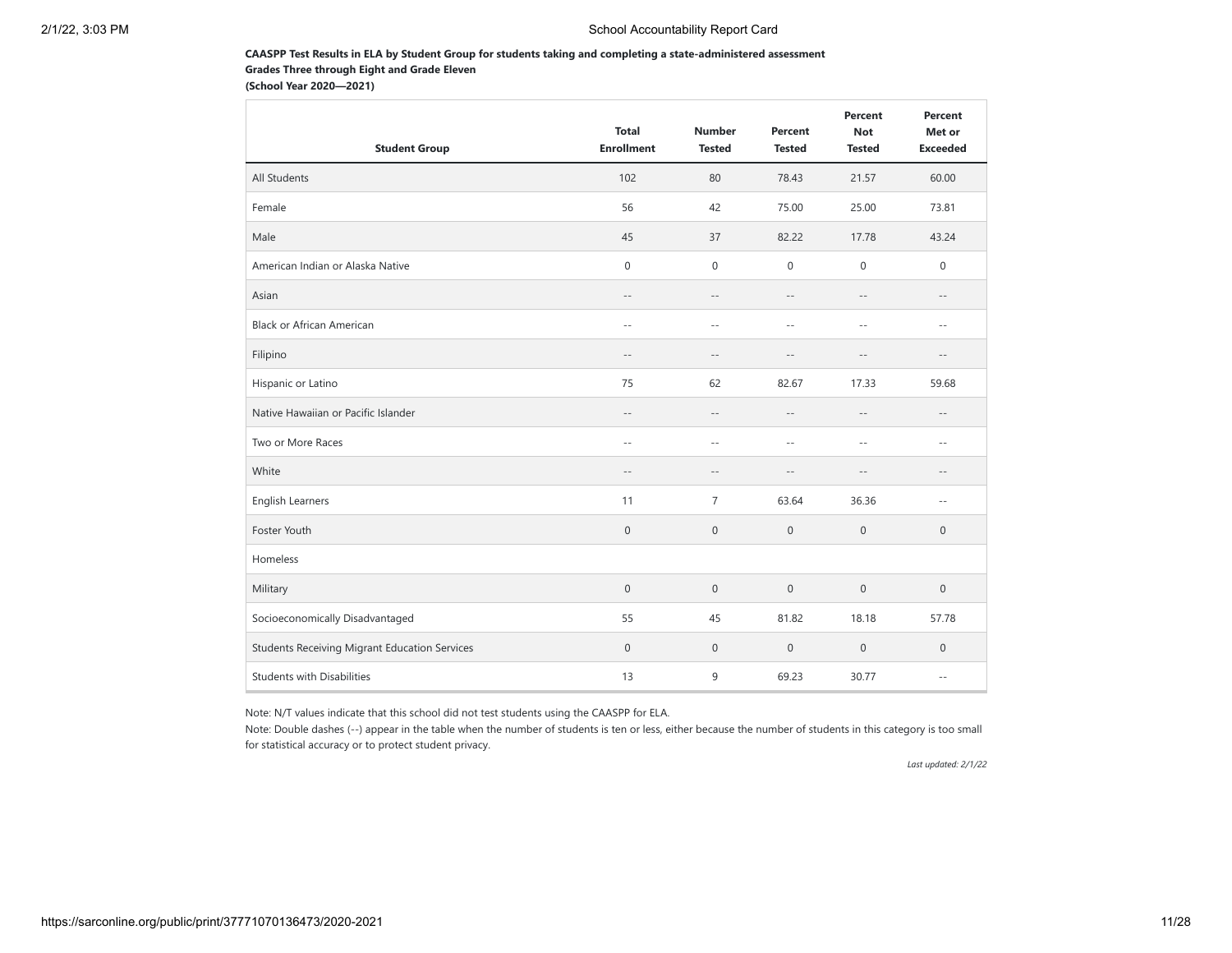#### **CAASPP Test Results in ELA by Student Group for students taking and completing a state-administered assessment Grades Three through Eight and Grade Eleven**

**(School Year 2020—2021)**

| <b>Student Group</b>                                 | <b>Total</b><br><b>Enrollment</b> | <b>Number</b><br><b>Tested</b> | Percent<br><b>Tested</b> | Percent<br><b>Not</b><br><b>Tested</b> | Percent<br>Met or<br><b>Exceeded</b> |
|------------------------------------------------------|-----------------------------------|--------------------------------|--------------------------|----------------------------------------|--------------------------------------|
| All Students                                         | 102                               | 80                             | 78.43                    | 21.57                                  | 60.00                                |
| Female                                               | 56                                | 42                             | 75.00                    | 25.00                                  | 73.81                                |
| Male                                                 | 45                                | 37                             | 82.22                    | 17.78                                  | 43.24                                |
| American Indian or Alaska Native                     | $\mathbf 0$                       | $\mathbf 0$                    | $\mathbf{0}$             | $\mathbf 0$                            | $\mathbf{0}$                         |
| Asian                                                | $ -$                              | $-\,-$                         | $-\,-$                   | $\sim$ $\sim$                          | $\sim$ $-$                           |
| <b>Black or African American</b>                     | $\sim$ $\sim$                     | $-$                            | $\sim$ $\sim$            | $-$                                    | $\sim$ $-$                           |
| Filipino                                             | $\sim$ $-$                        | $-$                            | $-$                      | $-$                                    | $\qquad \qquad -$                    |
| Hispanic or Latino                                   | 75                                | 62                             | 82.67                    | 17.33                                  | 59.68                                |
| Native Hawaiian or Pacific Islander                  | $ -$                              | $\sim$ $-$                     | $\frac{1}{2}$            | $-$                                    | $- -$                                |
| Two or More Races                                    | $\sim$ $\sim$                     | $\overline{a}$                 | $\sim$                   | $-$                                    | $\sim$ $\sim$                        |
| White                                                | $-\,-$                            | $\sim$                         | $\overline{a}$           | $-$                                    | $- -$                                |
| <b>English Learners</b>                              | 11                                | $\overline{7}$                 | 63.64                    | 36.36                                  | $\sim$ $\sim$                        |
| Foster Youth                                         | $\mathbb O$                       | $\mathbf 0$                    | $\mathbf{0}$             | $\boldsymbol{0}$                       | $\mathbf 0$                          |
| Homeless                                             |                                   |                                |                          |                                        |                                      |
| Military                                             | $\mathbb O$                       | $\mathbb O$                    | $\mathbf 0$              | $\boldsymbol{0}$                       | $\boldsymbol{0}$                     |
| Socioeconomically Disadvantaged                      | 55                                | 45                             | 81.82                    | 18.18                                  | 57.78                                |
| <b>Students Receiving Migrant Education Services</b> | $\mathbf 0$                       | $\mathbf 0$                    | $\mathbf 0$              | $\mathbf 0$                            | $\mathbf{0}$                         |
| <b>Students with Disabilities</b>                    | 13                                | 9                              | 69.23                    | 30.77                                  | $\sim$ $-$                           |

Note: N/T values indicate that this school did not test students using the CAASPP for ELA.

Note: Double dashes (--) appear in the table when the number of students is ten or less, either because the number of students in this category is too small for statistical accuracy or to protect student privacy.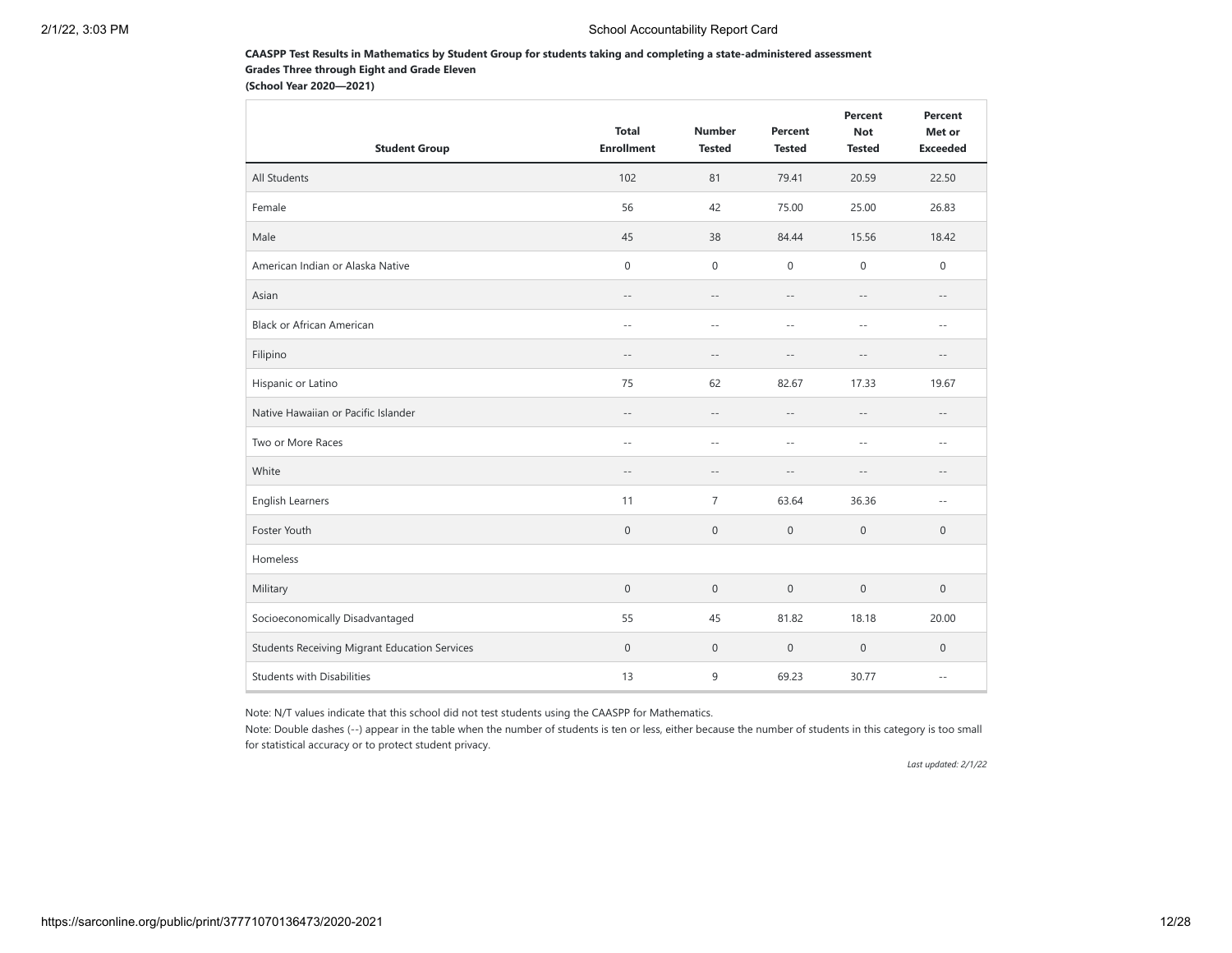#### **CAASPP Test Results in Mathematics by Student Group for students taking and completing a state-administered assessment Grades Three through Eight and Grade Eleven**

**(School Year 2020—2021)**

| <b>Student Group</b>                                 | <b>Total</b><br><b>Enrollment</b> | <b>Number</b><br><b>Tested</b> | Percent<br><b>Tested</b> | Percent<br><b>Not</b><br><b>Tested</b> | Percent<br>Met or<br><b>Exceeded</b> |
|------------------------------------------------------|-----------------------------------|--------------------------------|--------------------------|----------------------------------------|--------------------------------------|
| All Students                                         | 102                               | 81                             | 79.41                    | 20.59                                  | 22.50                                |
| Female                                               | 56                                | 42                             | 75.00                    | 25.00                                  | 26.83                                |
| Male                                                 | 45                                | 38                             | 84.44                    | 15.56                                  | 18.42                                |
| American Indian or Alaska Native                     | $\mathbf 0$                       | $\mathbf 0$                    | $\mathbf{0}$             | $\mathbf{0}$                           | $\mathbf{0}$                         |
| Asian                                                | $ -$                              | $-\,-$                         | $-\,-$                   | $-$                                    | $- -$                                |
| <b>Black or African American</b>                     | $\sim$ $\sim$                     | $\sim$ $\sim$                  | $\sim$                   | $-$                                    | $\sim$ $\sim$                        |
| Filipino                                             | $ -$                              | $-$                            | $-$                      | $-$                                    | $\qquad \qquad -$                    |
| Hispanic or Latino                                   | 75                                | 62                             | 82.67                    | 17.33                                  | 19.67                                |
| Native Hawaiian or Pacific Islander                  | $ -$                              | $-\,-$                         | $-\,-$                   | $\sim$ $\sim$                          | $- -$                                |
| Two or More Races                                    | $\sim$ $\sim$                     | $\sim$                         | $\sim$                   | $\sim$                                 | $\sim$ $\sim$                        |
| White                                                | $-\,-$                            | $-$                            | $-$                      |                                        | $\qquad \qquad -$                    |
| <b>English Learners</b>                              | 11                                | $\overline{7}$                 | 63.64                    | 36.36                                  | $\sim$ $-$                           |
| Foster Youth                                         | $\mathbf 0$                       | $\mathbf 0$                    | $\mathbf 0$              | $\mathbf{0}$                           | $\mathbf{0}$                         |
| Homeless                                             |                                   |                                |                          |                                        |                                      |
| Military                                             | $\mathsf{O}\xspace$               | $\mathbf 0$                    | $\mathbf 0$              | $\mathbf{0}$                           | $\mathbf 0$                          |
| Socioeconomically Disadvantaged                      | 55                                | 45                             | 81.82                    | 18.18                                  | 20.00                                |
| <b>Students Receiving Migrant Education Services</b> | $\mathbf 0$                       | $\boldsymbol{0}$               | $\mathbf 0$              | $\mathbf 0$                            | $\boldsymbol{0}$                     |
| <b>Students with Disabilities</b>                    | 13                                | 9                              | 69.23                    | 30.77                                  | $\sim$ $-$                           |

Note: N/T values indicate that this school did not test students using the CAASPP for Mathematics.

Note: Double dashes (--) appear in the table when the number of students is ten or less, either because the number of students in this category is too small for statistical accuracy or to protect student privacy.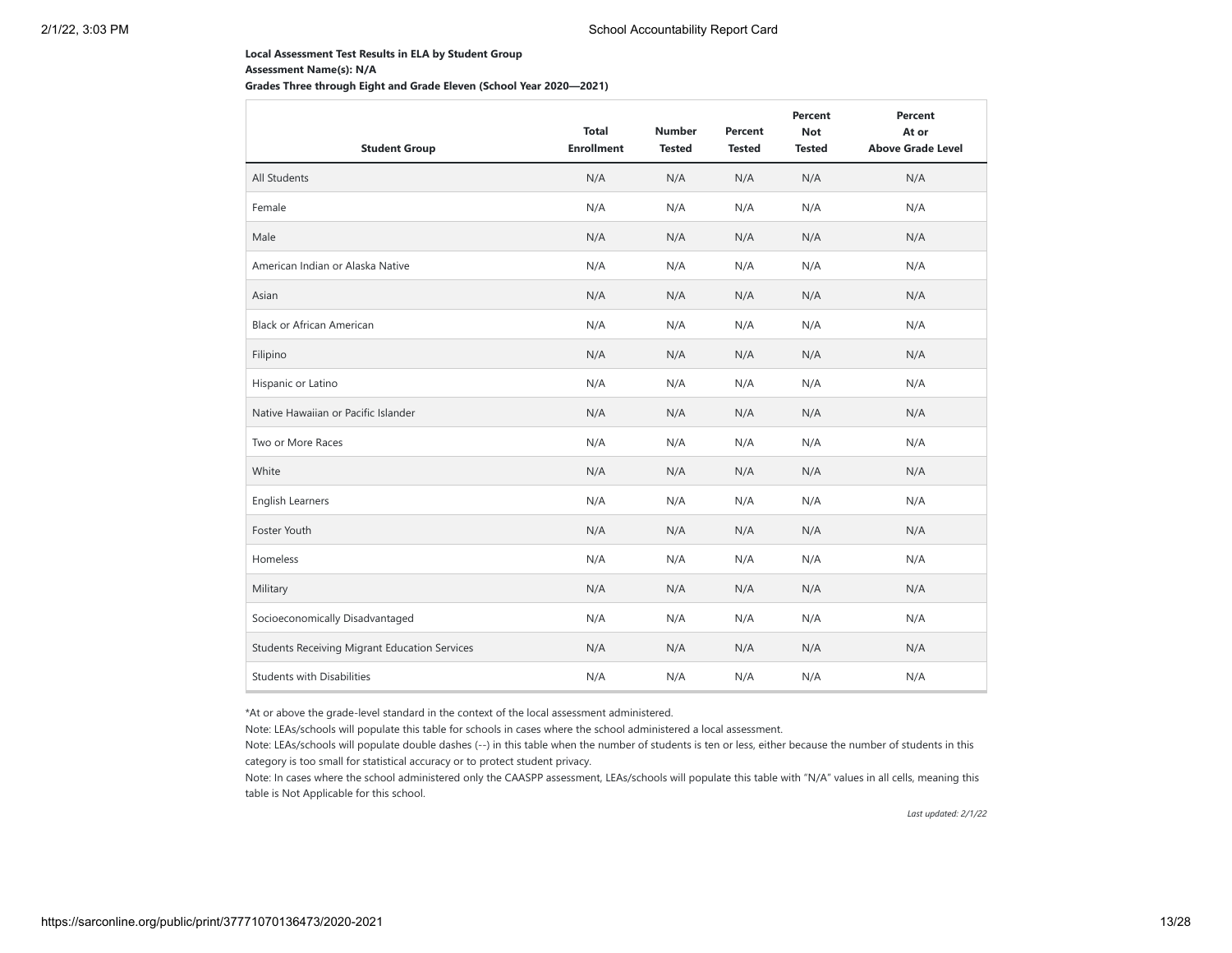## **Local Assessment Test Results in ELA by Student Group Assessment Name(s): N/A**

**Grades Three through Eight and Grade Eleven (School Year 2020—2021)**

| <b>Student Group</b>                                 | <b>Total</b><br><b>Enrollment</b> | <b>Number</b><br><b>Tested</b> | <b>Percent</b><br><b>Tested</b> | Percent<br><b>Not</b><br><b>Tested</b> | Percent<br>At or<br><b>Above Grade Level</b> |
|------------------------------------------------------|-----------------------------------|--------------------------------|---------------------------------|----------------------------------------|----------------------------------------------|
| All Students                                         | N/A                               | N/A                            | N/A                             | N/A                                    | N/A                                          |
| Female                                               | N/A                               | N/A                            | N/A                             | N/A                                    | N/A                                          |
| Male                                                 | N/A                               | N/A                            | N/A                             | N/A                                    | N/A                                          |
| American Indian or Alaska Native                     | N/A                               | N/A                            | N/A                             | N/A                                    | N/A                                          |
| Asian                                                | N/A                               | N/A                            | N/A                             | N/A                                    | N/A                                          |
| <b>Black or African American</b>                     | N/A                               | N/A                            | N/A                             | N/A                                    | N/A                                          |
| Filipino                                             | N/A                               | N/A                            | N/A                             | N/A                                    | N/A                                          |
| Hispanic or Latino                                   | N/A                               | N/A                            | N/A                             | N/A                                    | N/A                                          |
| Native Hawaiian or Pacific Islander                  | N/A                               | N/A                            | N/A                             | N/A                                    | N/A                                          |
| Two or More Races                                    | N/A                               | N/A                            | N/A                             | N/A                                    | N/A                                          |
| White                                                | N/A                               | N/A                            | N/A                             | N/A                                    | N/A                                          |
| <b>English Learners</b>                              | N/A                               | N/A                            | N/A                             | N/A                                    | N/A                                          |
| Foster Youth                                         | N/A                               | N/A                            | N/A                             | N/A                                    | N/A                                          |
| Homeless                                             | N/A                               | N/A                            | N/A                             | N/A                                    | N/A                                          |
| Military                                             | N/A                               | N/A                            | N/A                             | N/A                                    | N/A                                          |
| Socioeconomically Disadvantaged                      | N/A                               | N/A                            | N/A                             | N/A                                    | N/A                                          |
| <b>Students Receiving Migrant Education Services</b> | N/A                               | N/A                            | N/A                             | N/A                                    | N/A                                          |
| <b>Students with Disabilities</b>                    | N/A                               | N/A                            | N/A                             | N/A                                    | N/A                                          |

\*At or above the grade-level standard in the context of the local assessment administered.

Note: LEAs/schools will populate this table for schools in cases where the school administered a local assessment.

Note: LEAs/schools will populate double dashes (--) in this table when the number of students is ten or less, either because the number of students in this category is too small for statistical accuracy or to protect student privacy.

Note: In cases where the school administered only the CAASPP assessment, LEAs/schools will populate this table with "N/A" values in all cells, meaning this table is Not Applicable for this school.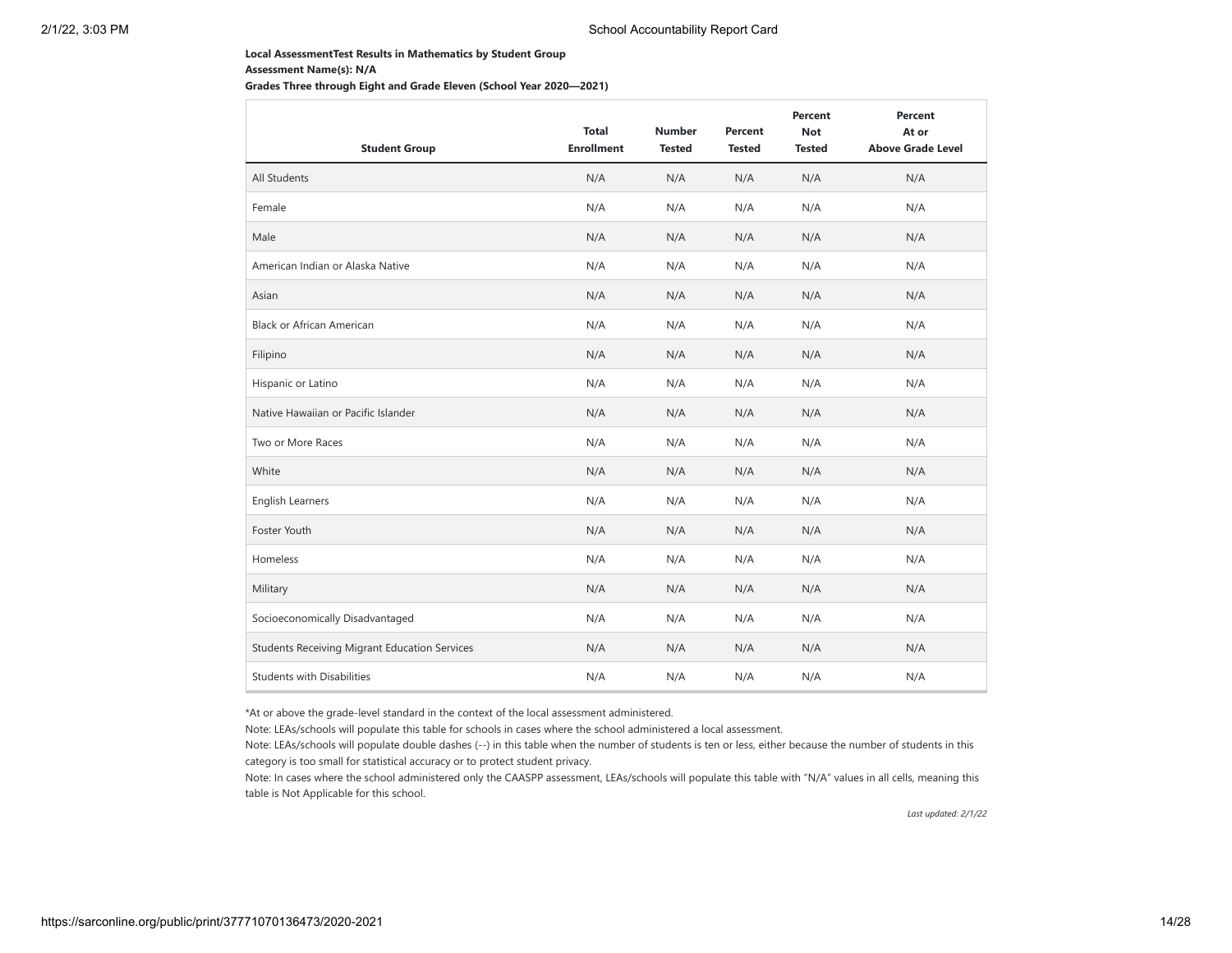## **Local AssessmentTest Results in Mathematics by Student Group Assessment Name(s): N/A**

**Grades Three through Eight and Grade Eleven (School Year 2020—2021)**

| <b>Student Group</b>                                 | <b>Total</b><br><b>Enrollment</b> | <b>Number</b><br><b>Tested</b> | <b>Percent</b><br><b>Tested</b> | Percent<br><b>Not</b><br><b>Tested</b> | Percent<br>At or<br><b>Above Grade Level</b> |
|------------------------------------------------------|-----------------------------------|--------------------------------|---------------------------------|----------------------------------------|----------------------------------------------|
| All Students                                         | N/A                               | N/A                            | N/A                             | N/A                                    | N/A                                          |
| Female                                               | N/A                               | N/A                            | N/A                             | N/A                                    | N/A                                          |
| Male                                                 | N/A                               | N/A                            | N/A                             | N/A                                    | N/A                                          |
| American Indian or Alaska Native                     | N/A                               | N/A                            | N/A                             | N/A                                    | N/A                                          |
| Asian                                                | N/A                               | N/A                            | N/A                             | N/A                                    | N/A                                          |
| <b>Black or African American</b>                     | N/A                               | N/A                            | N/A                             | N/A                                    | N/A                                          |
| Filipino                                             | N/A                               | N/A                            | N/A                             | N/A                                    | N/A                                          |
| Hispanic or Latino                                   | N/A                               | N/A                            | N/A                             | N/A                                    | N/A                                          |
| Native Hawaiian or Pacific Islander                  | N/A                               | N/A                            | N/A                             | N/A                                    | N/A                                          |
| Two or More Races                                    | N/A                               | N/A                            | N/A                             | N/A                                    | N/A                                          |
| White                                                | N/A                               | N/A                            | N/A                             | N/A                                    | N/A                                          |
| <b>English Learners</b>                              | N/A                               | N/A                            | N/A                             | N/A                                    | N/A                                          |
| Foster Youth                                         | N/A                               | N/A                            | N/A                             | N/A                                    | N/A                                          |
| Homeless                                             | N/A                               | N/A                            | N/A                             | N/A                                    | N/A                                          |
| Military                                             | N/A                               | N/A                            | N/A                             | N/A                                    | N/A                                          |
| Socioeconomically Disadvantaged                      | N/A                               | N/A                            | N/A                             | N/A                                    | N/A                                          |
| <b>Students Receiving Migrant Education Services</b> | N/A                               | N/A                            | N/A                             | N/A                                    | N/A                                          |
| <b>Students with Disabilities</b>                    | N/A                               | N/A                            | N/A                             | N/A                                    | N/A                                          |

\*At or above the grade-level standard in the context of the local assessment administered.

Note: LEAs/schools will populate this table for schools in cases where the school administered a local assessment.

Note: LEAs/schools will populate double dashes (--) in this table when the number of students is ten or less, either because the number of students in this category is too small for statistical accuracy or to protect student privacy.

Note: In cases where the school administered only the CAASPP assessment, LEAs/schools will populate this table with "N/A" values in all cells, meaning this table is Not Applicable for this school.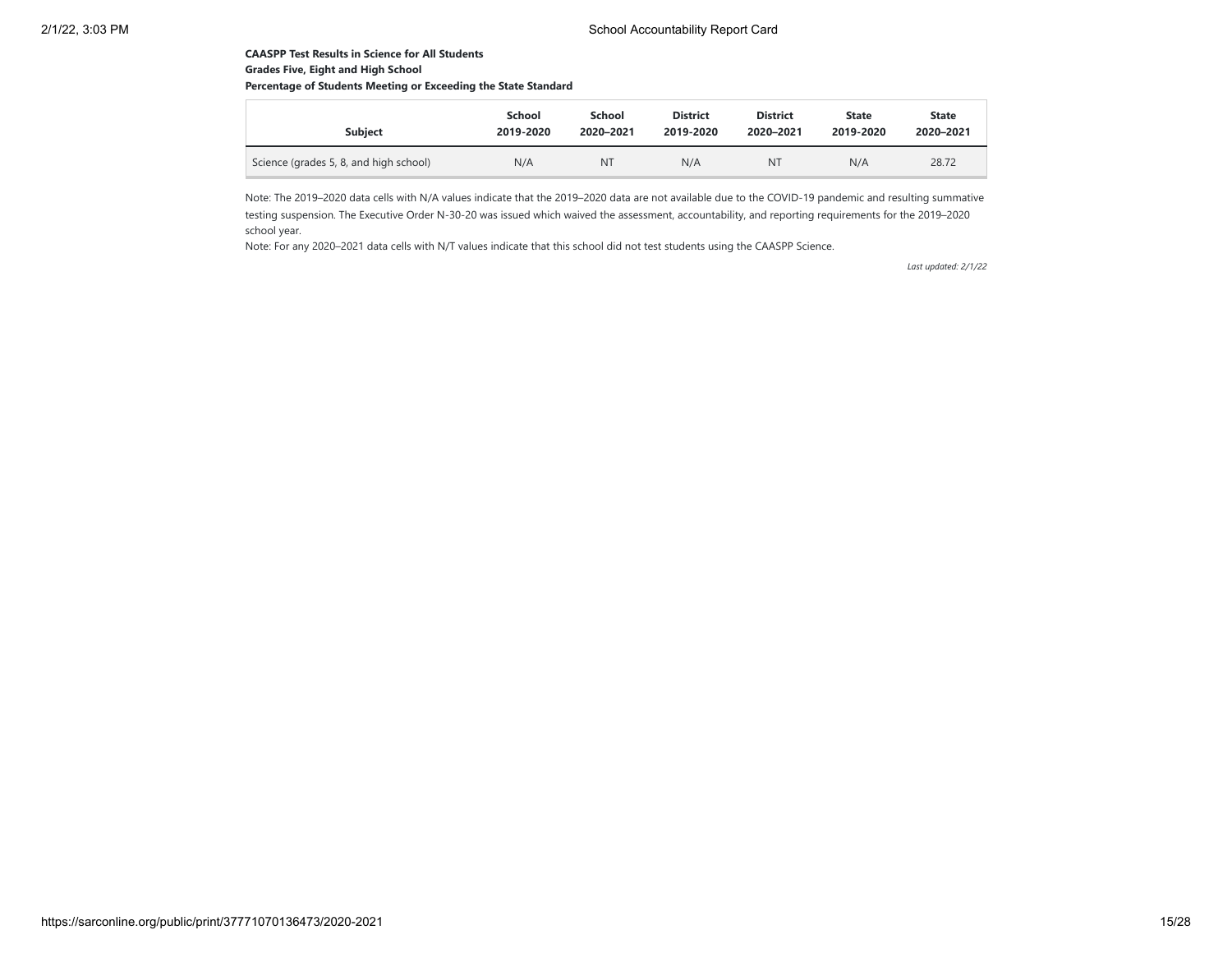#### **CAASPP Test Results in Science for All Students Grades Five, Eight and High School**

## **Percentage of Students Meeting or Exceeding the State Standard**

| <b>Subiect</b>                         | School    | School    | <b>District</b> | <b>District</b> | <b>State</b> | <b>State</b> |
|----------------------------------------|-----------|-----------|-----------------|-----------------|--------------|--------------|
|                                        | 2019-2020 | 2020-2021 | 2019-2020       | 2020-2021       | 2019-2020    | 2020-2021    |
| Science (grades 5, 8, and high school) | N/A       | <b>NT</b> | N/A             | NT              | N/A          | 28.72        |

Note: The 2019–2020 data cells with N/A values indicate that the 2019–2020 data are not available due to the COVID-19 pandemic and resulting summative testing suspension. The Executive Order N-30-20 was issued which waived the assessment, accountability, and reporting requirements for the 2019–2020 school year.

Note: For any 2020–2021 data cells with N/T values indicate that this school did not test students using the CAASPP Science.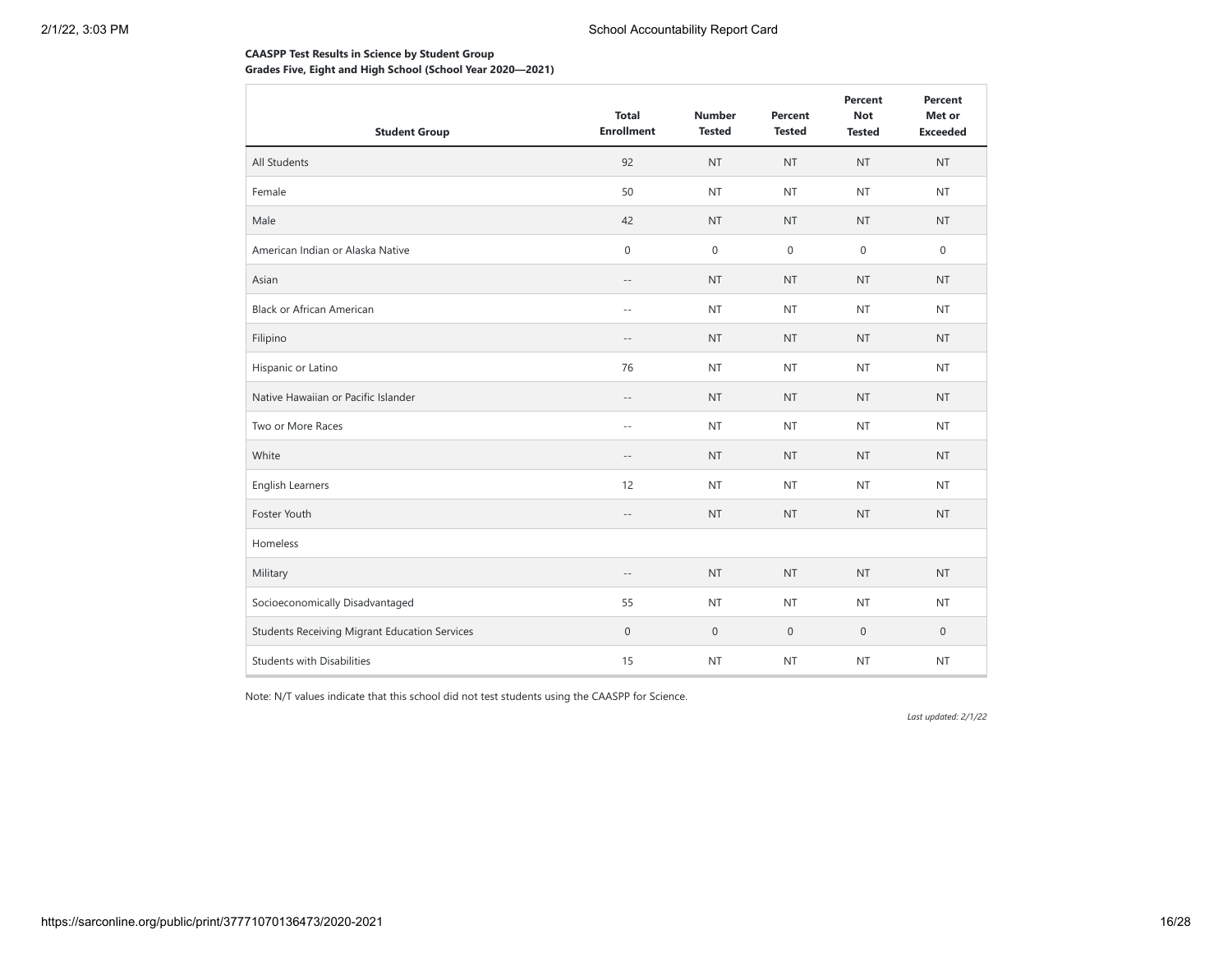## **CAASPP Test Results in Science by Student Group Grades Five, Eight and High School (School Year 2020—2021)**

| <b>Student Group</b>                          | <b>Total</b><br><b>Enrollment</b> | <b>Number</b><br><b>Tested</b> | Percent<br><b>Tested</b> | Percent<br><b>Not</b><br><b>Tested</b> | Percent<br>Met or<br><b>Exceeded</b> |
|-----------------------------------------------|-----------------------------------|--------------------------------|--------------------------|----------------------------------------|--------------------------------------|
| All Students                                  | 92                                | <b>NT</b>                      | <b>NT</b>                | <b>NT</b>                              | <b>NT</b>                            |
| Female                                        | 50                                | <b>NT</b>                      | <b>NT</b>                | <b>NT</b>                              | <b>NT</b>                            |
| Male                                          | 42                                | <b>NT</b>                      | <b>NT</b>                | <b>NT</b>                              | <b>NT</b>                            |
| American Indian or Alaska Native              | $\boldsymbol{0}$                  | $\boldsymbol{0}$               | $\mathbf 0$              | $\mathbf 0$                            | $\mathbf 0$                          |
| Asian                                         | $-\,-$                            | <b>NT</b>                      | <b>NT</b>                | <b>NT</b>                              | <b>NT</b>                            |
| <b>Black or African American</b>              | $-$                               | <b>NT</b>                      | <b>NT</b>                | <b>NT</b>                              | <b>NT</b>                            |
| Filipino                                      | $\qquad \qquad -$                 | <b>NT</b>                      | <b>NT</b>                | <b>NT</b>                              | <b>NT</b>                            |
| Hispanic or Latino                            | 76                                | <b>NT</b>                      | <b>NT</b>                | <b>NT</b>                              | <b>NT</b>                            |
| Native Hawaiian or Pacific Islander           | $- -$                             | <b>NT</b>                      | <b>NT</b>                | <b>NT</b>                              | <b>NT</b>                            |
| Two or More Races                             | $-$                               | <b>NT</b>                      | <b>NT</b>                | <b>NT</b>                              | <b>NT</b>                            |
| White                                         | $-$                               | <b>NT</b>                      | <b>NT</b>                | <b>NT</b>                              | <b>NT</b>                            |
| <b>English Learners</b>                       | 12                                | <b>NT</b>                      | <b>NT</b>                | <b>NT</b>                              | <b>NT</b>                            |
| Foster Youth                                  | $-\,-$                            | <b>NT</b>                      | <b>NT</b>                | <b>NT</b>                              | <b>NT</b>                            |
| Homeless                                      |                                   |                                |                          |                                        |                                      |
| Military                                      | $\qquad \qquad -$                 | <b>NT</b>                      | <b>NT</b>                | <b>NT</b>                              | <b>NT</b>                            |
| Socioeconomically Disadvantaged               | 55                                | <b>NT</b>                      | <b>NT</b>                | <b>NT</b>                              | <b>NT</b>                            |
| Students Receiving Migrant Education Services | $\mathbf 0$                       | $\boldsymbol{0}$               | $\mathbf 0$              | $\mathbf 0$                            | $\mathbf 0$                          |
| <b>Students with Disabilities</b>             | 15                                | <b>NT</b>                      | <b>NT</b>                | <b>NT</b>                              | <b>NT</b>                            |

Note: N/T values indicate that this school did not test students using the CAASPP for Science.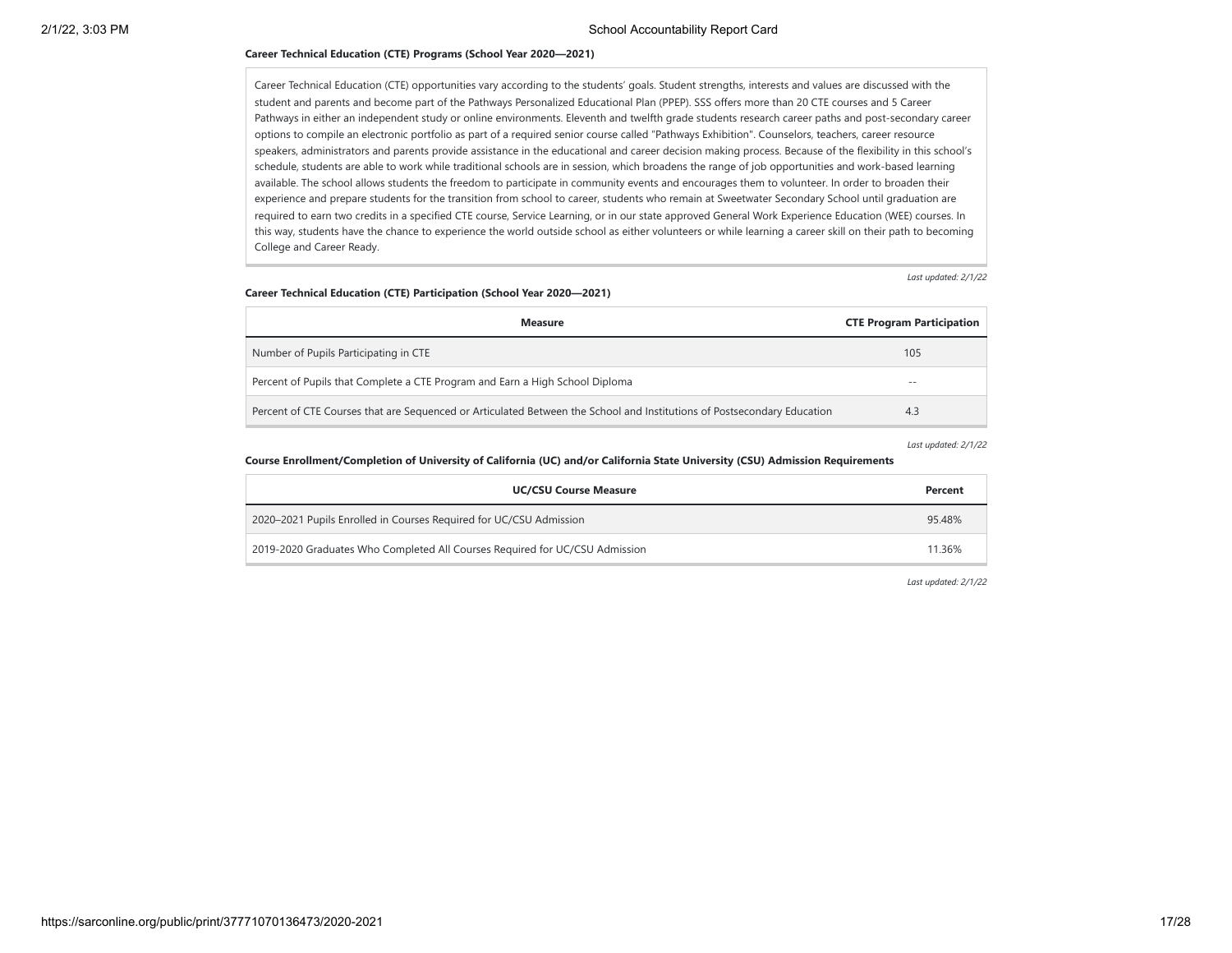#### **Career Technical Education (CTE) Programs (School Year 2020—2021)**

Career Technical Education (CTE) opportunities vary according to the students' goals. Student strengths, interests and values are discussed with the student and parents and become part of the Pathways Personalized Educational Plan (PPEP). SSS offers more than 20 CTE courses and 5 Career Pathways in either an independent study or online environments. Eleventh and twelfth grade students research career paths and post-secondary career options to compile an electronic portfolio as part of a required senior course called "Pathways Exhibition". Counselors, teachers, career resource speakers, administrators and parents provide assistance in the educational and career decision making process. Because of the flexibility in this school's schedule, students are able to work while traditional schools are in session, which broadens the range of job opportunities and work-based learning available. The school allows students the freedom to participate in community events and encourages them to volunteer. In order to broaden their experience and prepare students for the transition from school to career, students who remain at Sweetwater Secondary School until graduation are required to earn two credits in a specified CTE course, Service Learning, or in our state approved General Work Experience Education (WEE) courses. In this way, students have the chance to experience the world outside school as either volunteers or while learning a career skill on their path to becoming College and Career Ready.

*Last updated: 2/1/22*

#### **Career Technical Education (CTE) Participation (School Year 2020—2021)**

| <b>Measure</b>                                                                                                          | <b>CTE Program Participation</b> |
|-------------------------------------------------------------------------------------------------------------------------|----------------------------------|
| Number of Pupils Participating in CTE                                                                                   | 105                              |
| Percent of Pupils that Complete a CTE Program and Earn a High School Diploma                                            | $- -$                            |
| Percent of CTE Courses that are Sequenced or Articulated Between the School and Institutions of Postsecondary Education | 4.3                              |

*Last updated: 2/1/22*

#### **Course Enrollment/Completion of University of California (UC) and/or California State University (CSU) Admission Requirements**

| <b>UC/CSU Course Measure</b>                                                | Percent |
|-----------------------------------------------------------------------------|---------|
| 2020–2021 Pupils Enrolled in Courses Required for UC/CSU Admission          | 95.48%  |
| 2019-2020 Graduates Who Completed All Courses Required for UC/CSU Admission | 11.36%  |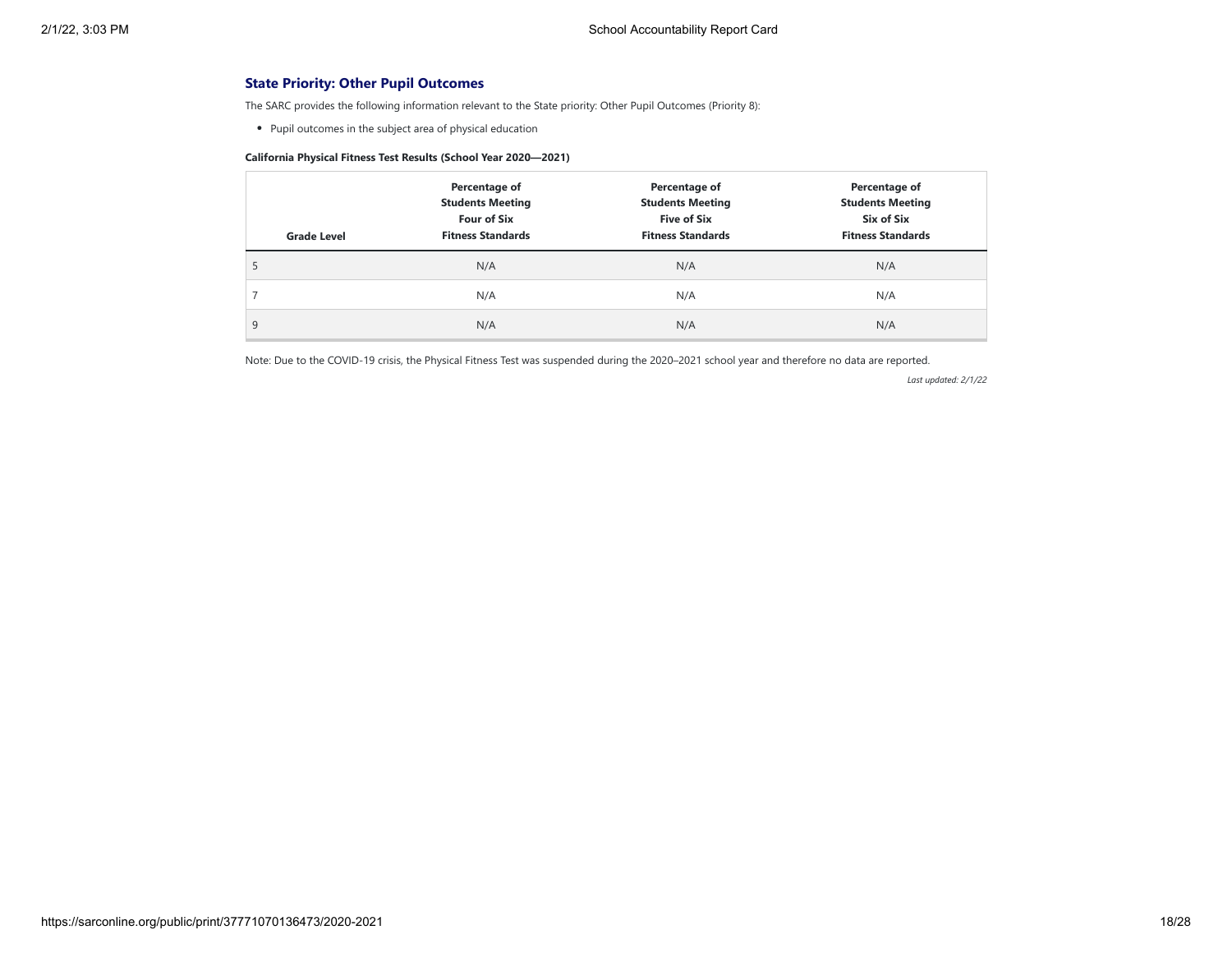## **State Priority: Other Pupil Outcomes**

The SARC provides the following information relevant to the State priority: Other Pupil Outcomes (Priority 8):

Pupil outcomes in the subject area of physical education

## **California Physical Fitness Test Results (School Year 2020—2021)**

| <b>Grade Level</b> | Percentage of<br><b>Students Meeting</b><br><b>Four of Six</b><br><b>Fitness Standards</b> | Percentage of<br><b>Students Meeting</b><br><b>Five of Six</b><br><b>Fitness Standards</b> | Percentage of<br><b>Students Meeting</b><br>Six of Six<br><b>Fitness Standards</b> |
|--------------------|--------------------------------------------------------------------------------------------|--------------------------------------------------------------------------------------------|------------------------------------------------------------------------------------|
| э                  | N/A                                                                                        | N/A                                                                                        | N/A                                                                                |
|                    | N/A                                                                                        | N/A                                                                                        | N/A                                                                                |
| 9                  | N/A                                                                                        | N/A                                                                                        | N/A                                                                                |

Note: Due to the COVID-19 crisis, the Physical Fitness Test was suspended during the 2020–2021 school year and therefore no data are reported.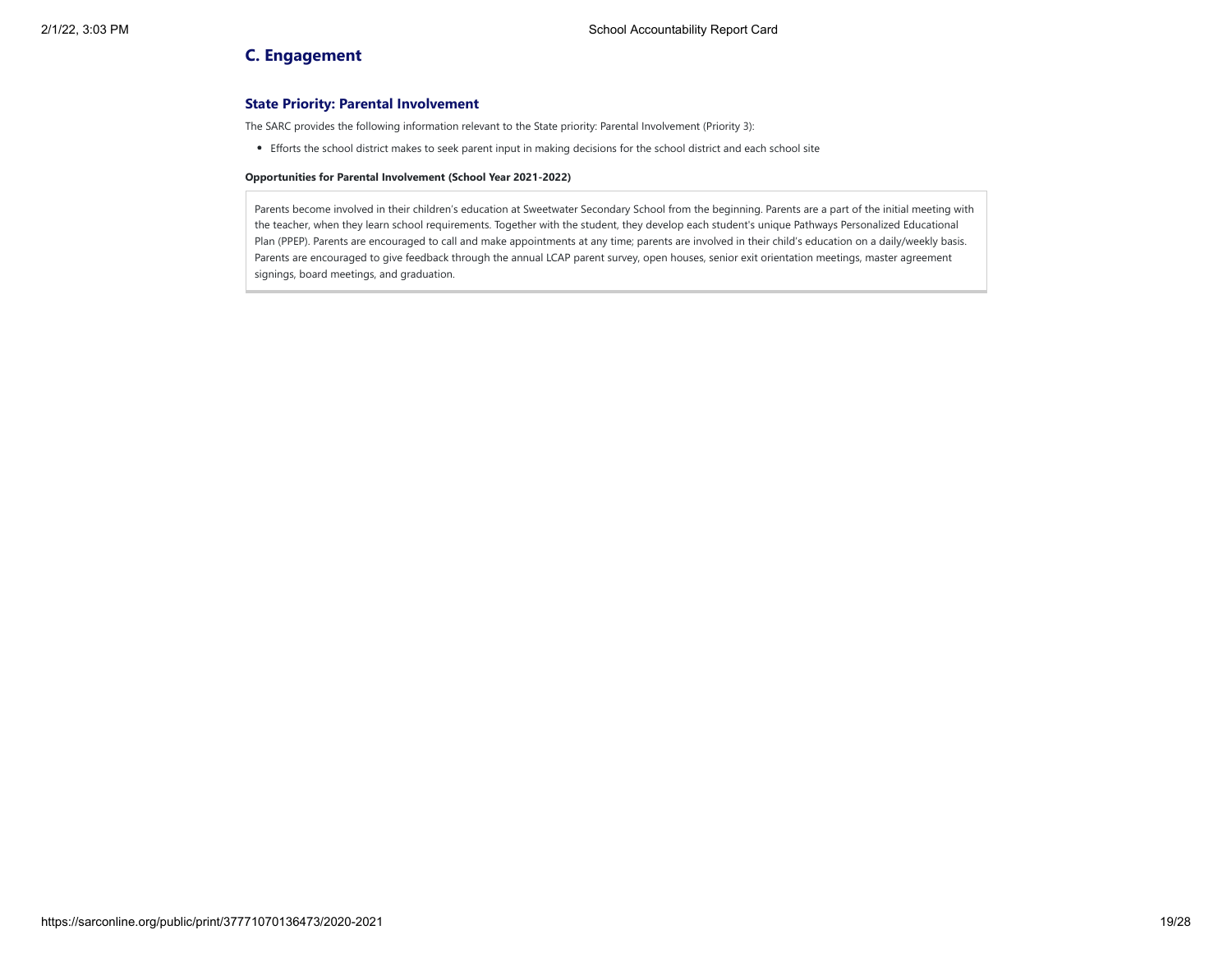# **C. Engagement**

# **State Priority: Parental Involvement**

The SARC provides the following information relevant to the State priority: Parental Involvement (Priority 3):

Efforts the school district makes to seek parent input in making decisions for the school district and each school site

#### **Opportunities for Parental Involvement (School Year 2021-2022)**

Parents become involved in their children's education at Sweetwater Secondary School from the beginning. Parents are a part of the initial meeting with the teacher, when they learn school requirements. Together with the student, they develop each student's unique Pathways Personalized Educational Plan (PPEP). Parents are encouraged to call and make appointments at any time; parents are involved in their child's education on a daily/weekly basis. Parents are encouraged to give feedback through the annual LCAP parent survey, open houses, senior exit orientation meetings, master agreement signings, board meetings, and graduation.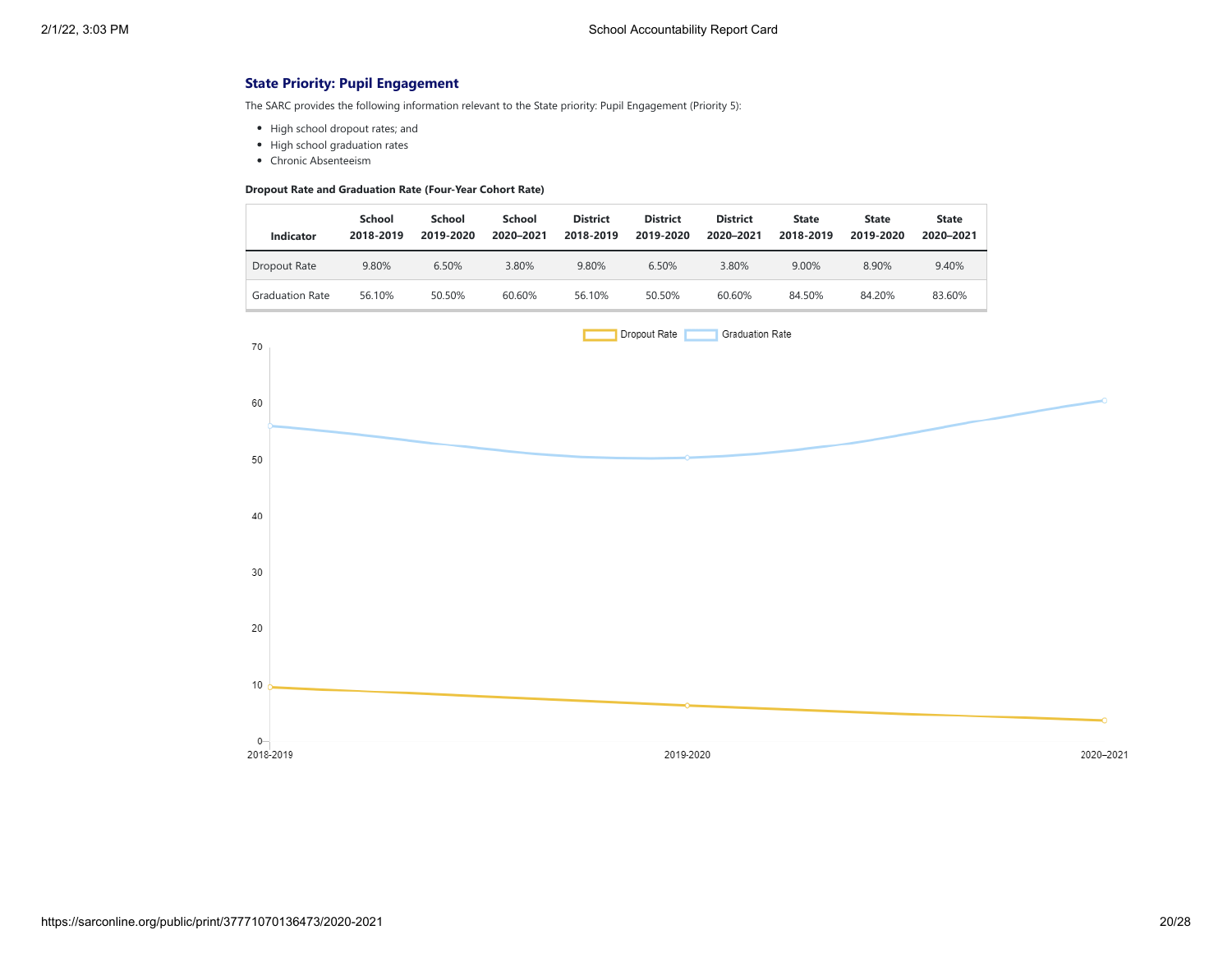## **State Priority: Pupil Engagement**

The SARC provides the following information relevant to the State priority: Pupil Engagement (Priority 5):

- High school dropout rates; and
- High school graduation rates
- Chronic Absenteeism

#### **Dropout Rate and Graduation Rate (Four-Year Cohort Rate)**

| Indicator              | School<br>2018-2019 | School<br>2019-2020 | School<br>2020-2021 | <b>District</b><br>2018-2019 | <b>District</b><br>2019-2020 | <b>District</b><br>2020-2021 | <b>State</b><br>2018-2019 | <b>State</b><br>2019-2020 | <b>State</b><br>2020-2021 |
|------------------------|---------------------|---------------------|---------------------|------------------------------|------------------------------|------------------------------|---------------------------|---------------------------|---------------------------|
| Dropout Rate           | 9.80%               | 6.50%               | 3.80%               | 9.80%                        | 6.50%                        | 3.80%                        | 9.00%                     | 8.90%                     | 9.40%                     |
| <b>Graduation Rate</b> | 56.10%              | 50.50%              | 60.60%              | 56.10%                       | 50.50%                       | 60.60%                       | 84.50%                    | 84.20%                    | 83.60%                    |

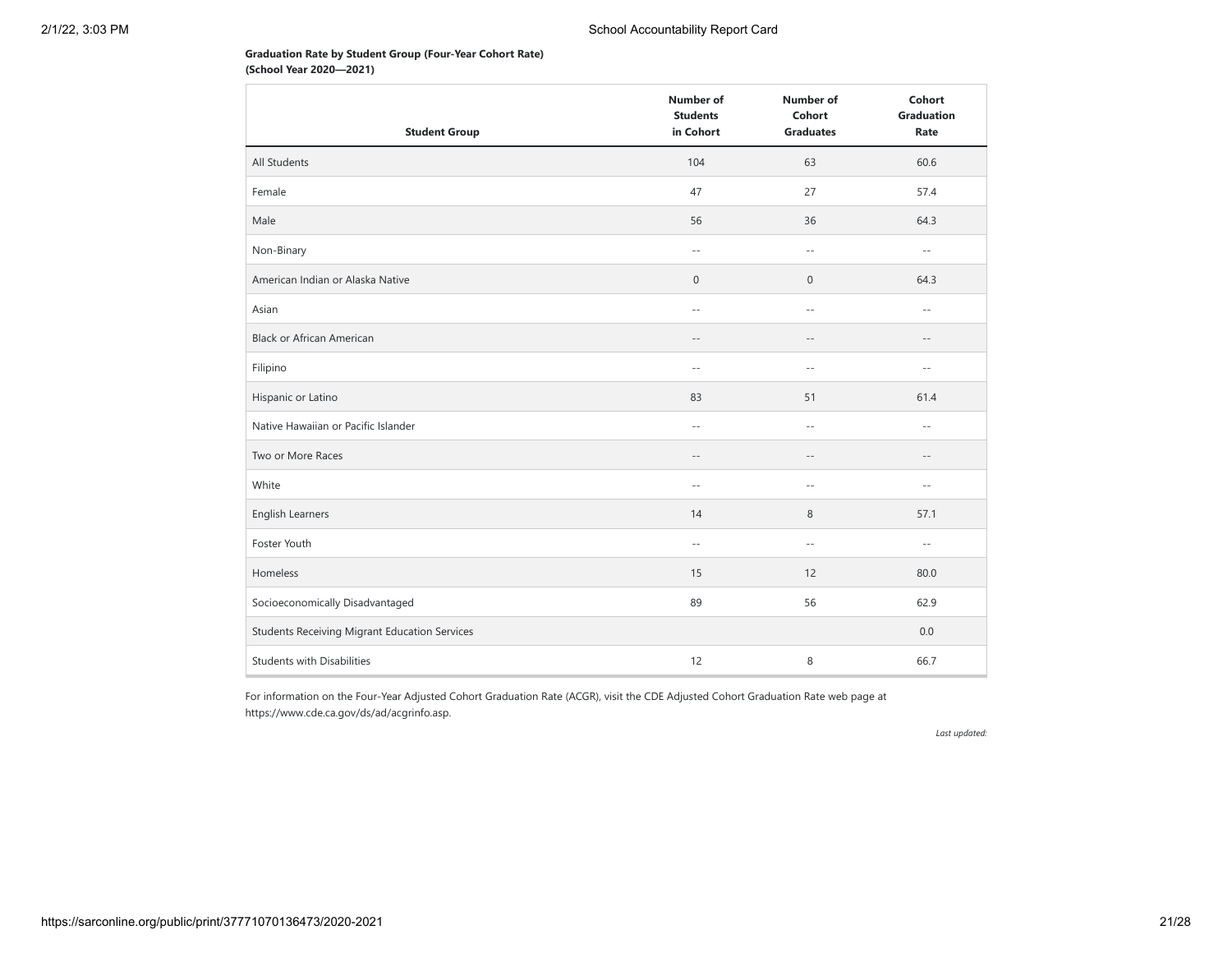## **Graduation Rate by Student Group (Four-Year Cohort Rate) (School Year 2020—2021)**

|                                                      | <b>Number of</b><br><b>Students</b> | <b>Number of</b><br>Cohort | Cohort<br><b>Graduation</b> |
|------------------------------------------------------|-------------------------------------|----------------------------|-----------------------------|
| <b>Student Group</b>                                 | in Cohort                           | <b>Graduates</b>           | Rate                        |
| All Students                                         | 104                                 | 63                         | 60.6                        |
| Female                                               | 47                                  | 27                         | 57.4                        |
| Male                                                 | 56                                  | 36                         | 64.3                        |
| Non-Binary                                           | $\sim$ $\sim$                       | $-$                        | $\sim$ $-$                  |
| American Indian or Alaska Native                     | $\boldsymbol{0}$                    | $\boldsymbol{0}$           | 64.3                        |
| Asian                                                | $\sim$ $\sim$                       | $-$                        | $\sim$ $-$                  |
| <b>Black or African American</b>                     | $-$                                 | $-$                        | $\qquad \qquad -$           |
| Filipino                                             | $\sim$ $\sim$                       | $-$                        | $\sim$ $\sim$               |
| Hispanic or Latino                                   | 83                                  | 51                         | 61.4                        |
| Native Hawaiian or Pacific Islander                  | $-$                                 | $-$                        | $\sim$ $-$                  |
| Two or More Races                                    | $-$                                 | $-$                        | $-$                         |
| White                                                | $\overline{\phantom{a}}$ .          | $-$                        | $-$                         |
| English Learners                                     | 14                                  | 8                          | 57.1                        |
| Foster Youth                                         | $\sim$ $\sim$                       | $-$                        | $\sim$ $-$                  |
| Homeless                                             | 15                                  | 12                         | 80.0                        |
| Socioeconomically Disadvantaged                      | 89                                  | 56                         | 62.9                        |
| <b>Students Receiving Migrant Education Services</b> |                                     |                            | 0.0                         |
| <b>Students with Disabilities</b>                    | 12                                  | 8                          | 66.7                        |

For information on the Four-Year Adjusted Cohort Graduation Rate (ACGR), visit the CDE Adjusted Cohort Graduation Rate web page at https://www.cde.ca.gov/ds/ad/acgrinfo.asp.

*Last updated:*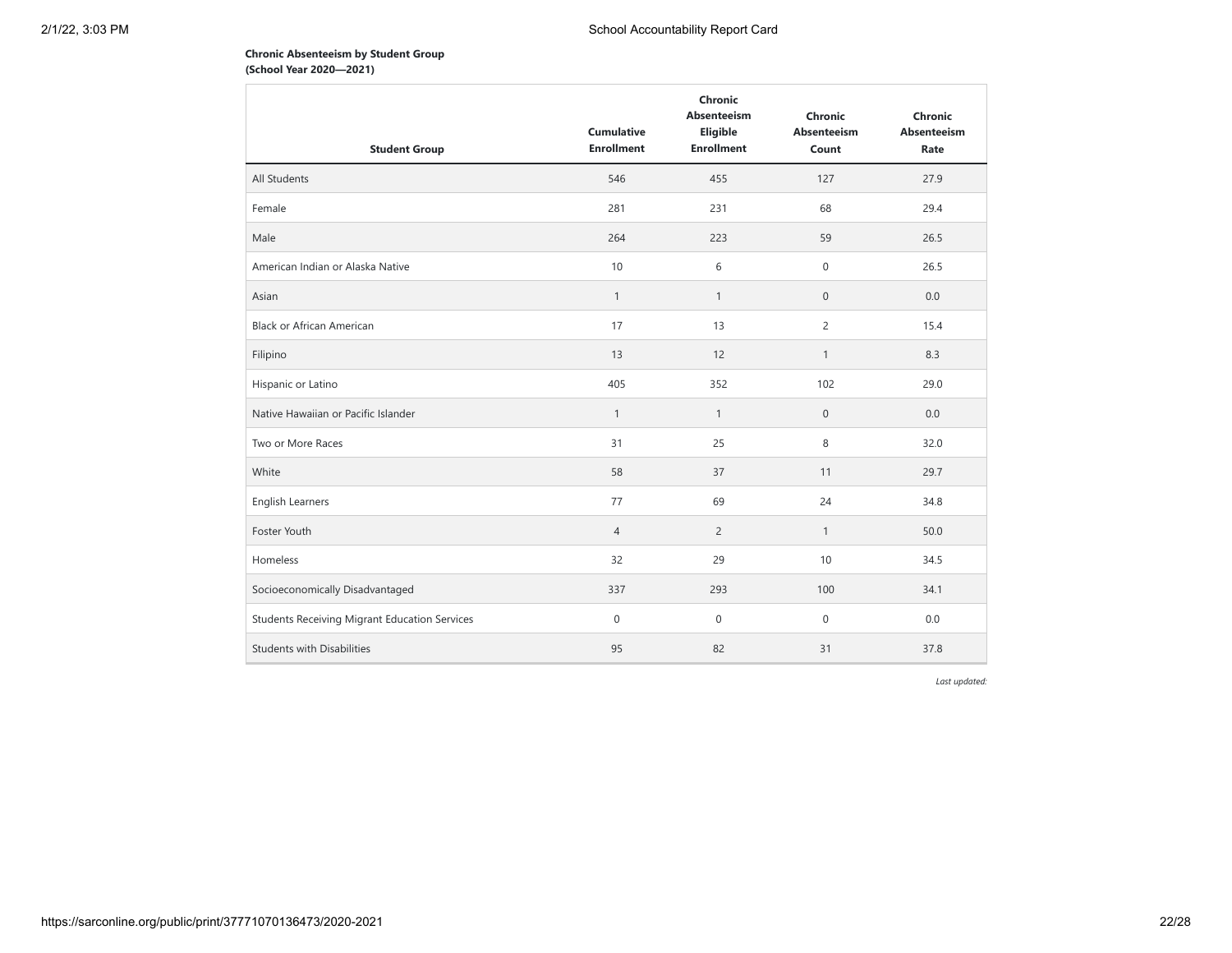## **Chronic Absenteeism by Student Group (School Year 2020—2021)**

| <b>Student Group</b>                          | <b>Cumulative</b><br><b>Enrollment</b> | Chronic<br><b>Absenteeism</b><br>Eligible<br><b>Enrollment</b> | Chronic<br><b>Absenteeism</b><br>Count | Chronic<br><b>Absenteeism</b><br>Rate |
|-----------------------------------------------|----------------------------------------|----------------------------------------------------------------|----------------------------------------|---------------------------------------|
| All Students                                  | 546                                    | 455                                                            | 127                                    | 27.9                                  |
| Female                                        | 281                                    | 231                                                            | 68                                     | 29.4                                  |
| Male                                          | 264                                    | 223                                                            | 59                                     | 26.5                                  |
| American Indian or Alaska Native              | 10                                     | 6                                                              | $\mathbf 0$                            | 26.5                                  |
| Asian                                         | $\mathbf{1}$                           | $\mathbf{1}$                                                   | $\mathsf{O}\xspace$                    | 0.0                                   |
| <b>Black or African American</b>              | 17                                     | 13                                                             | $\overline{c}$                         | 15.4                                  |
| Filipino                                      | 13                                     | 12                                                             | $\mathbf{1}$                           | 8.3                                   |
| Hispanic or Latino                            | 405                                    | 352                                                            | 102                                    | 29.0                                  |
| Native Hawaiian or Pacific Islander           | $\mathbf{1}$                           | $\mathbf{1}$                                                   | $\boldsymbol{0}$                       | 0.0                                   |
| Two or More Races                             | 31                                     | 25                                                             | 8                                      | 32.0                                  |
| White                                         | 58                                     | 37                                                             | 11                                     | 29.7                                  |
| <b>English Learners</b>                       | 77                                     | 69                                                             | 24                                     | 34.8                                  |
| Foster Youth                                  | $\overline{4}$                         | $\overline{2}$                                                 | $\mathbf{1}$                           | 50.0                                  |
| Homeless                                      | 32                                     | 29                                                             | 10                                     | 34.5                                  |
| Socioeconomically Disadvantaged               | 337                                    | 293                                                            | 100                                    | 34.1                                  |
| Students Receiving Migrant Education Services | $\mathbf{0}$                           | $\mathbf 0$                                                    | $\mathbf{0}$                           | 0.0                                   |
| <b>Students with Disabilities</b>             | 95                                     | 82                                                             | 31                                     | 37.8                                  |

*Last updated:*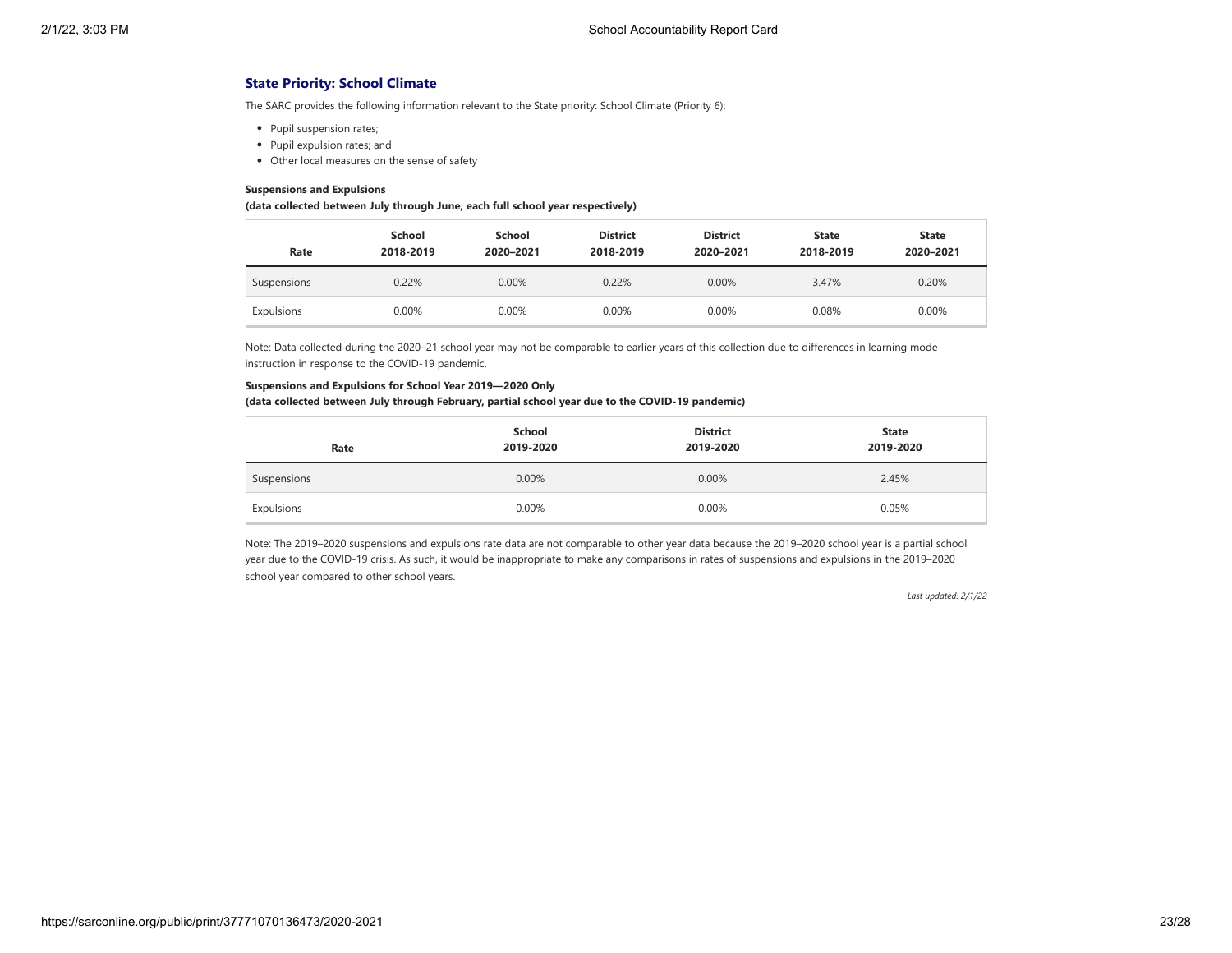## **State Priority: School Climate**

The SARC provides the following information relevant to the State priority: School Climate (Priority 6):

- Pupil suspension rates;
- Pupil expulsion rates; and
- Other local measures on the sense of safety

#### **Suspensions and Expulsions**

#### **(data collected between July through June, each full school year respectively)**

| Rate        | School<br>2018-2019 | School<br>2020-2021 | <b>District</b><br>2018-2019 | <b>District</b><br>2020-2021 | <b>State</b><br>2018-2019 | <b>State</b><br>2020-2021 |
|-------------|---------------------|---------------------|------------------------------|------------------------------|---------------------------|---------------------------|
| Suspensions | 0.22%               | 0.00%               | 0.22%                        | 0.00%                        | 3.47%                     | 0.20%                     |
| Expulsions  | 0.00%               | 0.00%               | 0.00%                        | 0.00%                        | 0.08%                     | 0.00%                     |

Note: Data collected during the 2020–21 school year may not be comparable to earlier years of this collection due to differences in learning mode instruction in response to the COVID-19 pandemic.

#### **Suspensions and Expulsions for School Year 2019—2020 Only**

#### **(data collected between July through February, partial school year due to the COVID-19 pandemic)**

| Rate        | School<br>2019-2020 | <b>District</b><br>2019-2020 | <b>State</b><br>2019-2020 |
|-------------|---------------------|------------------------------|---------------------------|
| Suspensions | 0.00%               | 0.00%                        | 2.45%                     |
| Expulsions  | 0.00%               | $0.00\%$                     | 0.05%                     |

Note: The 2019–2020 suspensions and expulsions rate data are not comparable to other year data because the 2019–2020 school year is a partial school year due to the COVID-19 crisis. As such, it would be inappropriate to make any comparisons in rates of suspensions and expulsions in the 2019–2020 school year compared to other school years.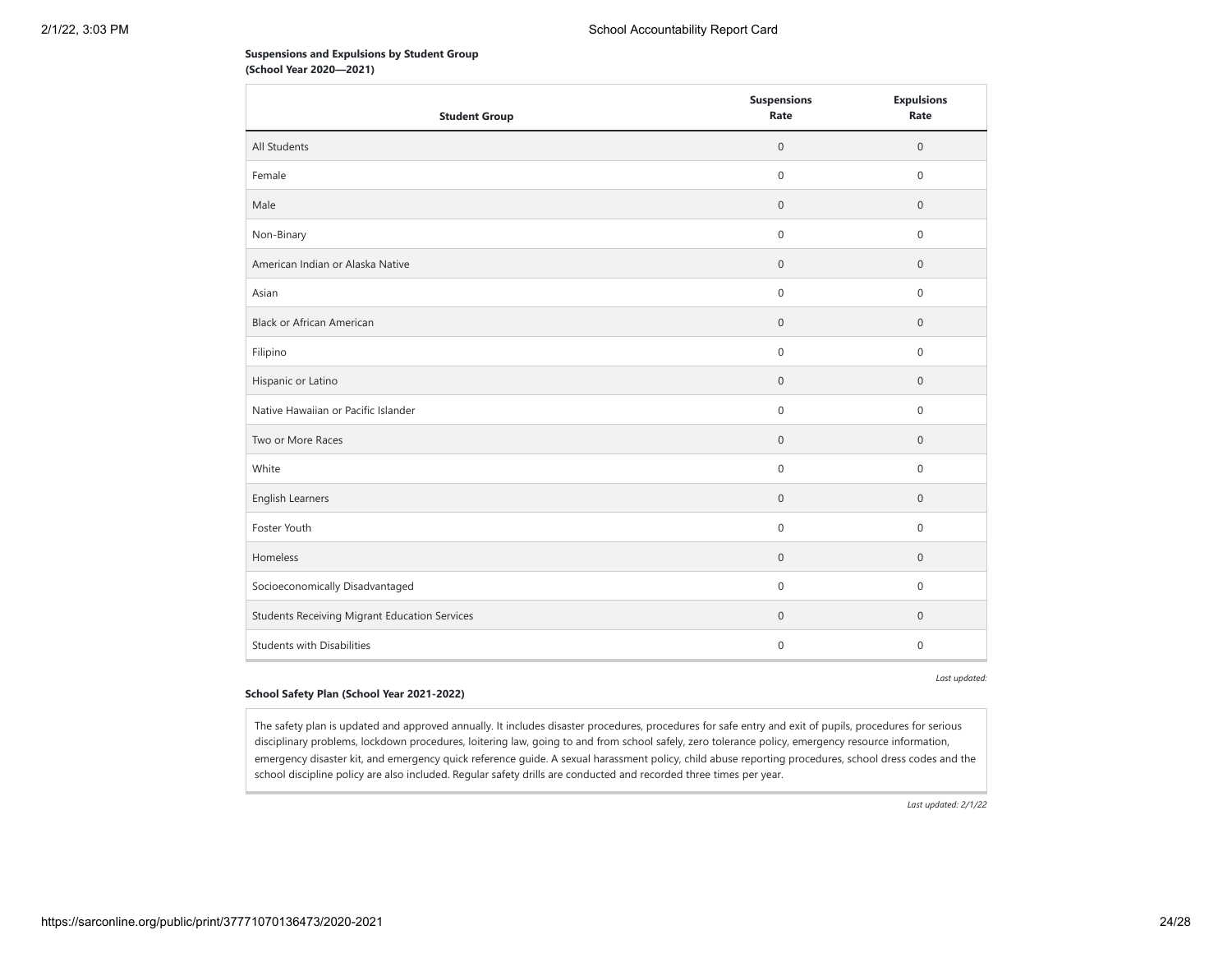## **Suspensions and Expulsions by Student Group (School Year 2020—2021)**

| <b>Student Group</b>                                 | <b>Suspensions</b><br>Rate | <b>Expulsions</b><br>Rate |
|------------------------------------------------------|----------------------------|---------------------------|
| All Students                                         | $\mathbf{0}$               | $\mathbf{0}$              |
| Female                                               | $\mathbf 0$                | $\mathbf 0$               |
| Male                                                 | $\mathbf{0}$               | $\mathbf 0$               |
| Non-Binary                                           | $\mathbf 0$                | $\mathbf{0}$              |
| American Indian or Alaska Native                     | $\boldsymbol{0}$           | $\mathbf 0$               |
| Asian                                                | $\mathbf 0$                | $\mathbf{0}$              |
| <b>Black or African American</b>                     | $\mathbf 0$                | $\mathbf 0$               |
| Filipino                                             | $\mathbf 0$                | $\mathbf 0$               |
| Hispanic or Latino                                   | $\mathbb O$                | $\mathbf 0$               |
| Native Hawaiian or Pacific Islander                  | $\mathsf{O}\xspace$        | $\mathsf{O}\xspace$       |
| Two or More Races                                    | $\boldsymbol{0}$           | $\mathbf 0$               |
| White                                                | $\boldsymbol{0}$           | $\mathbf 0$               |
| English Learners                                     | $\mathbf{0}$               | $\mathbf{0}$              |
| Foster Youth                                         | $\mathbf 0$                | $\mathbf 0$               |
| Homeless                                             | $\mathbf{0}$               | $\mathbf 0$               |
| Socioeconomically Disadvantaged                      | $\boldsymbol{0}$           | $\mathbf 0$               |
| <b>Students Receiving Migrant Education Services</b> | $\boldsymbol{0}$           | $\mathbf 0$               |
| <b>Students with Disabilities</b>                    | $\mathbf{0}$               | $\mathbf{0}$              |

*Last updated:*

#### **School Safety Plan (School Year 2021-2022)**

The safety plan is updated and approved annually. It includes disaster procedures, procedures for safe entry and exit of pupils, procedures for serious disciplinary problems, lockdown procedures, loitering law, going to and from school safely, zero tolerance policy, emergency resource information, emergency disaster kit, and emergency quick reference guide. A sexual harassment policy, child abuse reporting procedures, school dress codes and the school discipline policy are also included. Regular safety drills are conducted and recorded three times per year.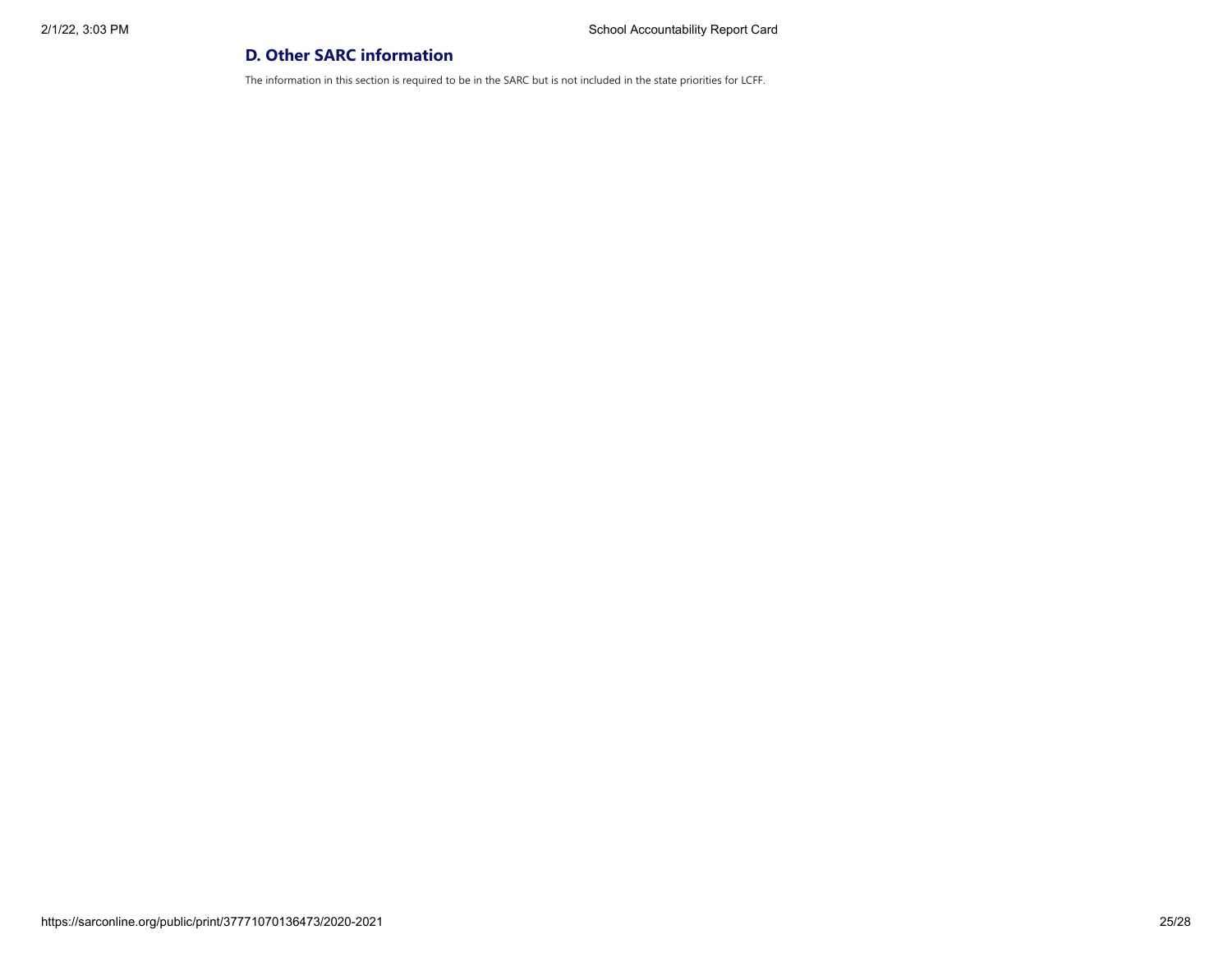# **D. Other SARC information**

The information in this section is required to be in the SARC but is not included in the state priorities for LCFF.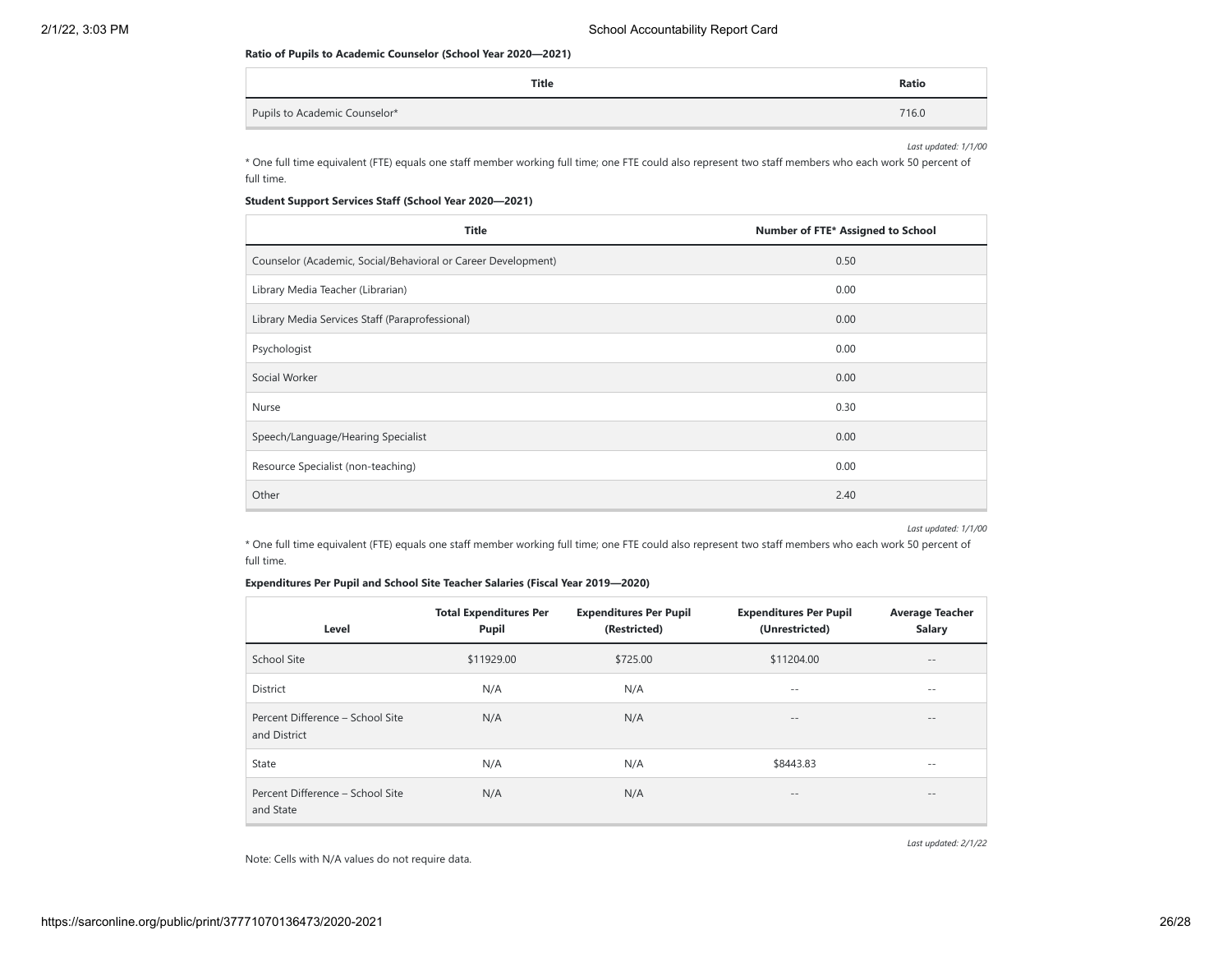#### **Ratio of Pupils to Academic Counselor (School Year 2020—2021)**

| Title                         | Ratio |
|-------------------------------|-------|
| Pupils to Academic Counselor* | 716.0 |

*Last updated: 1/1/00*

\* One full time equivalent (FTE) equals one staff member working full time; one FTE could also represent two staff members who each work 50 percent of full time.

#### **Student Support Services Staff (School Year 2020—2021)**

| <b>Title</b>                                                  | Number of FTE* Assigned to School |
|---------------------------------------------------------------|-----------------------------------|
| Counselor (Academic, Social/Behavioral or Career Development) | 0.50                              |
| Library Media Teacher (Librarian)                             | 0.00                              |
| Library Media Services Staff (Paraprofessional)               | 0.00                              |
| Psychologist                                                  | 0.00                              |
| Social Worker                                                 | 0.00                              |
| Nurse                                                         | 0.30                              |
| Speech/Language/Hearing Specialist                            | 0.00                              |
| Resource Specialist (non-teaching)                            | 0.00                              |
| Other                                                         | 2.40                              |

*Last updated: 1/1/00*

\* One full time equivalent (FTE) equals one staff member working full time; one FTE could also represent two staff members who each work 50 percent of full time.

## **Expenditures Per Pupil and School Site Teacher Salaries (Fiscal Year 2019—2020)**

| Level                                            | <b>Total Expenditures Per</b><br>Pupil | <b>Expenditures Per Pupil</b><br>(Restricted) | <b>Expenditures Per Pupil</b><br>(Unrestricted) | <b>Average Teacher</b><br><b>Salary</b> |
|--------------------------------------------------|----------------------------------------|-----------------------------------------------|-------------------------------------------------|-----------------------------------------|
| School Site                                      | \$11929.00                             | \$725.00                                      | \$11204.00                                      | $- -$                                   |
| District                                         | N/A                                    | N/A                                           | $- -$                                           | $- -$                                   |
| Percent Difference - School Site<br>and District | N/A                                    | N/A                                           | $\frac{1}{2}$                                   | $- -$                                   |
| State                                            | N/A                                    | N/A                                           | \$8443.83                                       | $- -$                                   |
| Percent Difference - School Site<br>and State    | N/A                                    | N/A                                           | $\frac{1}{2}$                                   | $- -$                                   |

*Last updated: 2/1/22*

Note: Cells with N/A values do not require data.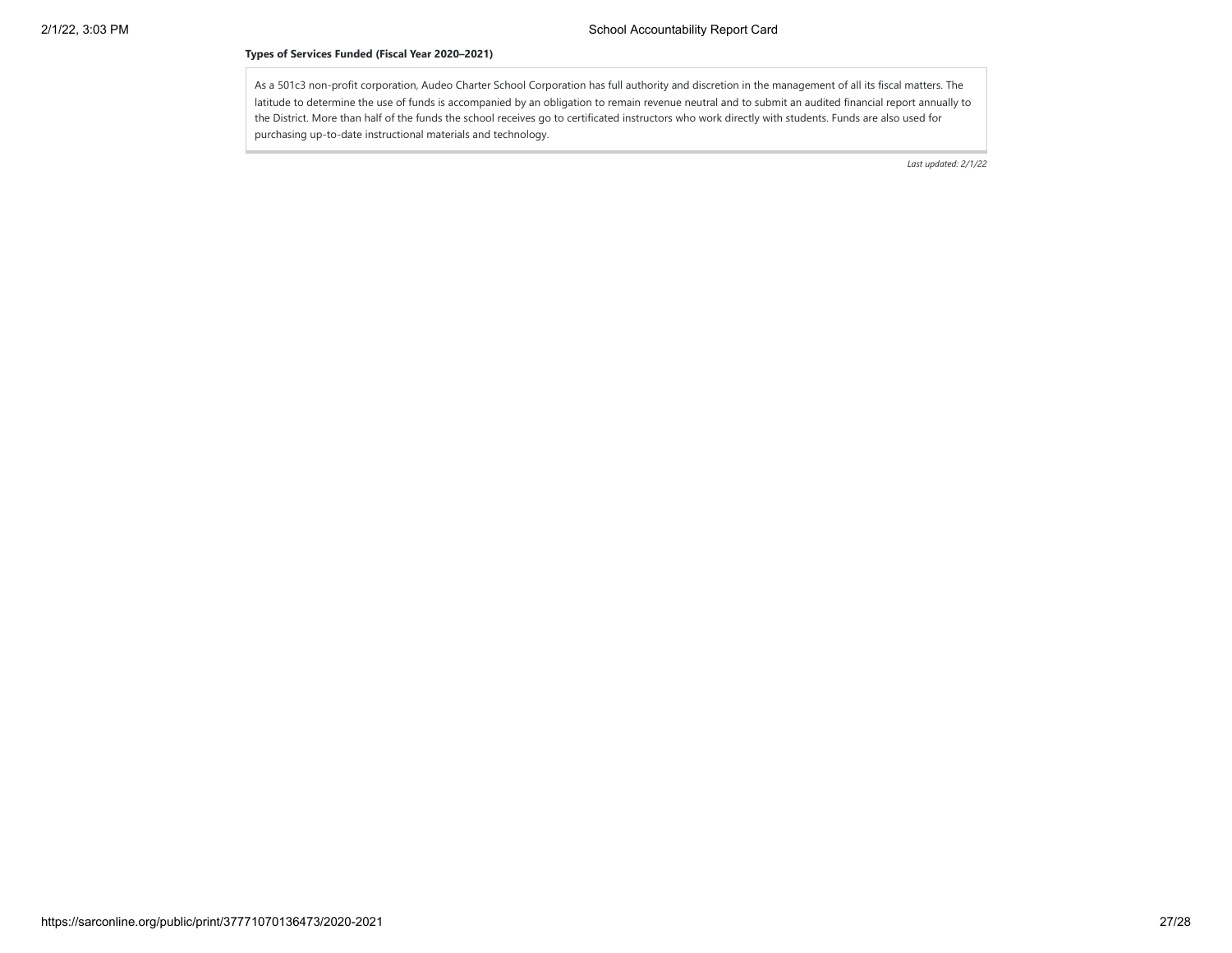## **Types of Services Funded (Fiscal Year 2020–2021)**

As a 501c3 non-profit corporation, Audeo Charter School Corporation has full authority and discretion in the management of all its fiscal matters. The latitude to determine the use of funds is accompanied by an obligation to remain revenue neutral and to submit an audited financial report annually to the District. More than half of the funds the school receives go to certificated instructors who work directly with students. Funds are also used for purchasing up-to-date instructional materials and technology.